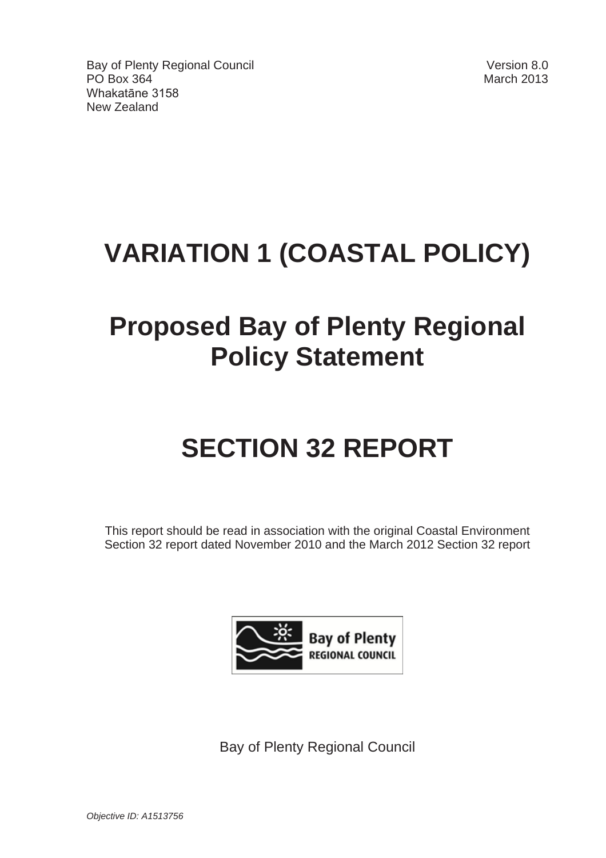Bay of Plenty Regional Council Version 8.0 PO Box 364 March 2013 Whakatāne 3158 New Zealand

# **VARIATION 1 (COASTAL POLICY)**

# **Proposed Bay of Plenty Regional Policy Statement**

# **SECTION 32 REPORT**

This report should be read in association with the original Coastal Environment Section 32 report dated November 2010 and the March 2012 Section 32 report



Bay of Plenty Regional Council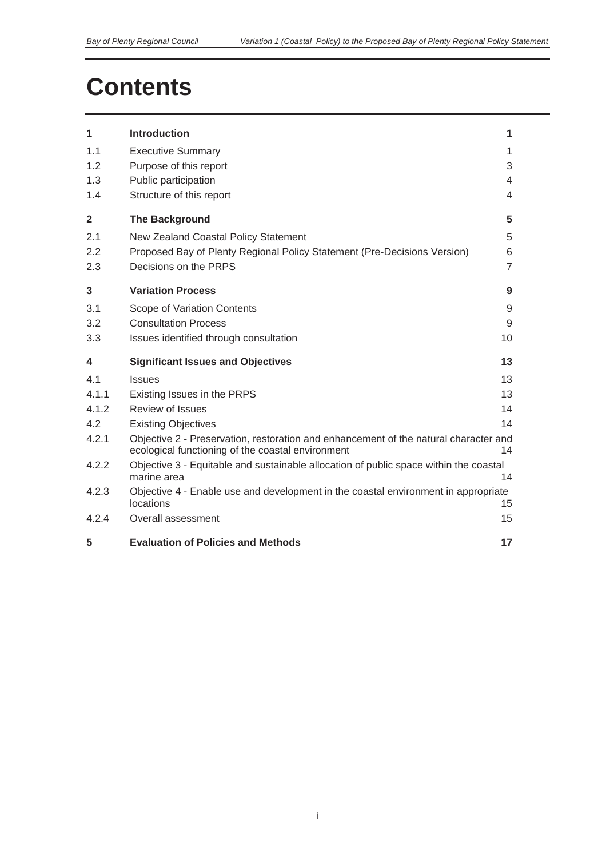# **Contents**

| 1                       | <b>Introduction</b>                                                                                                                       | 1              |
|-------------------------|-------------------------------------------------------------------------------------------------------------------------------------------|----------------|
| 1.1                     | <b>Executive Summary</b>                                                                                                                  | 1              |
| 1.2                     | Purpose of this report                                                                                                                    | 3              |
| 1.3                     | Public participation                                                                                                                      | 4              |
| 1.4                     | Structure of this report                                                                                                                  | 4              |
| $\overline{\mathbf{2}}$ | <b>The Background</b>                                                                                                                     | 5              |
| 2.1                     | New Zealand Coastal Policy Statement                                                                                                      | 5              |
| 2.2                     | Proposed Bay of Plenty Regional Policy Statement (Pre-Decisions Version)                                                                  | 6              |
| 2.3                     | Decisions on the PRPS                                                                                                                     | $\overline{7}$ |
| $\overline{\mathbf{3}}$ | <b>Variation Process</b>                                                                                                                  | 9              |
| 3.1                     | Scope of Variation Contents                                                                                                               | 9              |
| 3.2                     | <b>Consultation Process</b>                                                                                                               | 9              |
| 3.3                     | Issues identified through consultation                                                                                                    | 10             |
| $\overline{\mathbf{4}}$ | <b>Significant Issues and Objectives</b>                                                                                                  | 13             |
| 4.1                     | <b>Issues</b>                                                                                                                             | 13             |
| 4.1.1                   | Existing Issues in the PRPS                                                                                                               | 13             |
| 4.1.2                   | Review of Issues                                                                                                                          | 14             |
| 4.2                     | <b>Existing Objectives</b>                                                                                                                | 14             |
| 4.2.1                   | Objective 2 - Preservation, restoration and enhancement of the natural character and<br>ecological functioning of the coastal environment | 14             |
| 4.2.2                   | Objective 3 - Equitable and sustainable allocation of public space within the coastal<br>marine area                                      | 14             |
| 4.2.3                   | Objective 4 - Enable use and development in the coastal environment in appropriate<br>locations                                           | 15             |
| 4.2.4                   | Overall assessment                                                                                                                        | 15             |
| 5                       | <b>Evaluation of Policies and Methods</b>                                                                                                 | 17             |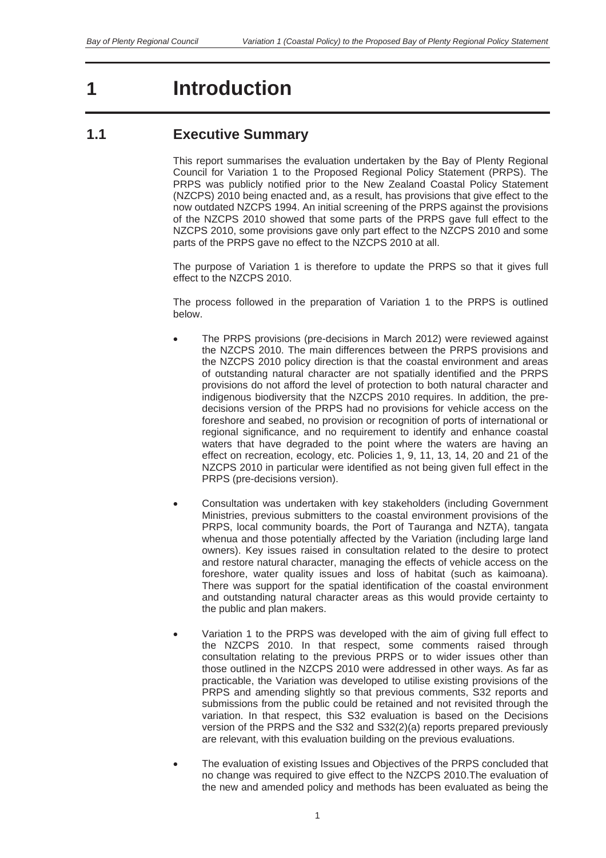# **1 Introduction**

# **1.1 Executive Summary**

This report summarises the evaluation undertaken by the Bay of Plenty Regional Council for Variation 1 to the Proposed Regional Policy Statement (PRPS). The PRPS was publicly notified prior to the New Zealand Coastal Policy Statement (NZCPS) 2010 being enacted and, as a result, has provisions that give effect to the now outdated NZCPS 1994. An initial screening of the PRPS against the provisions of the NZCPS 2010 showed that some parts of the PRPS gave full effect to the NZCPS 2010, some provisions gave only part effect to the NZCPS 2010 and some parts of the PRPS gave no effect to the NZCPS 2010 at all.

The purpose of Variation 1 is therefore to update the PRPS so that it gives full effect to the NZCPS 2010.

The process followed in the preparation of Variation 1 to the PRPS is outlined below.

- The PRPS provisions (pre-decisions in March 2012) were reviewed against the NZCPS 2010. The main differences between the PRPS provisions and the NZCPS 2010 policy direction is that the coastal environment and areas of outstanding natural character are not spatially identified and the PRPS provisions do not afford the level of protection to both natural character and indigenous biodiversity that the NZCPS 2010 requires. In addition, the predecisions version of the PRPS had no provisions for vehicle access on the foreshore and seabed, no provision or recognition of ports of international or regional significance, and no requirement to identify and enhance coastal waters that have degraded to the point where the waters are having an effect on recreation, ecology, etc. Policies 1, 9, 11, 13, 14, 20 and 21 of the NZCPS 2010 in particular were identified as not being given full effect in the PRPS (pre-decisions version).
- Consultation was undertaken with key stakeholders (including Government Ministries, previous submitters to the coastal environment provisions of the PRPS, local community boards, the Port of Tauranga and NZTA), tangata whenua and those potentially affected by the Variation (including large land owners). Key issues raised in consultation related to the desire to protect and restore natural character, managing the effects of vehicle access on the foreshore, water quality issues and loss of habitat (such as kaimoana). There was support for the spatial identification of the coastal environment and outstanding natural character areas as this would provide certainty to the public and plan makers.
- Variation 1 to the PRPS was developed with the aim of giving full effect to the NZCPS 2010. In that respect, some comments raised through consultation relating to the previous PRPS or to wider issues other than those outlined in the NZCPS 2010 were addressed in other ways. As far as practicable, the Variation was developed to utilise existing provisions of the PRPS and amending slightly so that previous comments, S32 reports and submissions from the public could be retained and not revisited through the variation. In that respect, this S32 evaluation is based on the Decisions version of the PRPS and the S32 and S32(2)(a) reports prepared previously are relevant, with this evaluation building on the previous evaluations.
- The evaluation of existing Issues and Objectives of the PRPS concluded that no change was required to give effect to the NZCPS 2010.The evaluation of the new and amended policy and methods has been evaluated as being the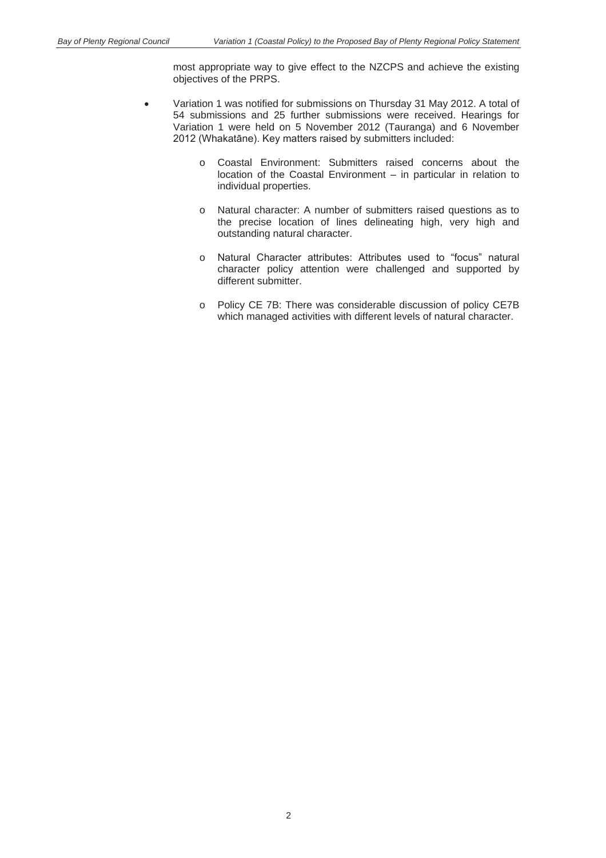most appropriate way to give effect to the NZCPS and achieve the existing objectives of the PRPS.

- Variation 1 was notified for submissions on Thursday 31 May 2012. A total of 54 submissions and 25 further submissions were received. Hearings for Variation 1 were held on 5 November 2012 (Tauranga) and 6 November 2012 (Whakatāne). Key matters raised by submitters included:
	- o Coastal Environment: Submitters raised concerns about the location of the Coastal Environment – in particular in relation to individual properties.
	- o Natural character: A number of submitters raised questions as to the precise location of lines delineating high, very high and outstanding natural character.
	- o Natural Character attributes: Attributes used to "focus" natural character policy attention were challenged and supported by different submitter.
	- o Policy CE 7B: There was considerable discussion of policy CE7B which managed activities with different levels of natural character.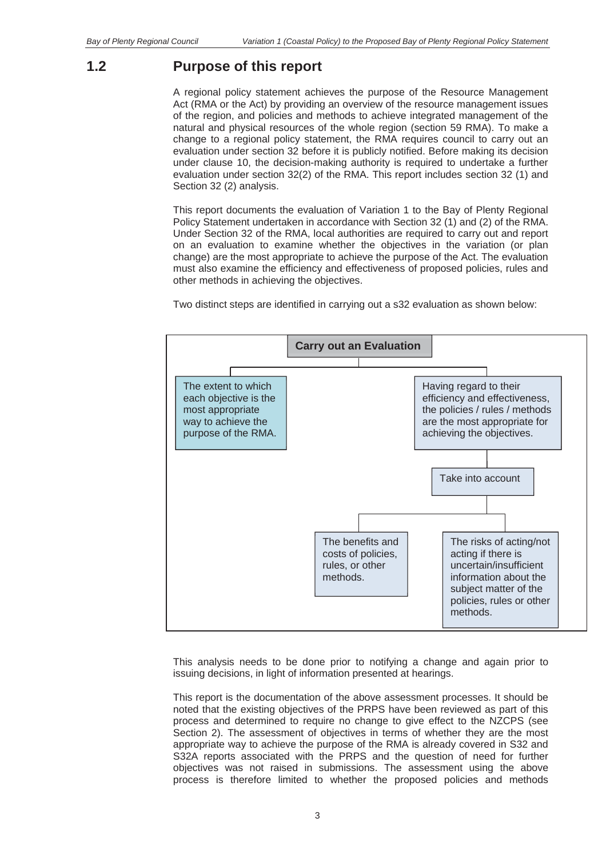### **1.2 Purpose of this report**

A regional policy statement achieves the purpose of the Resource Management Act (RMA or the Act) by providing an overview of the resource management issues of the region, and policies and methods to achieve integrated management of the natural and physical resources of the whole region (section 59 RMA). To make a change to a regional policy statement, the RMA requires council to carry out an evaluation under section 32 before it is publicly notified. Before making its decision under clause 10, the decision-making authority is required to undertake a further evaluation under section 32(2) of the RMA. This report includes section 32 (1) and Section 32 (2) analysis.

This report documents the evaluation of Variation 1 to the Bay of Plenty Regional Policy Statement undertaken in accordance with Section 32 (1) and (2) of the RMA. Under Section 32 of the RMA, local authorities are required to carry out and report on an evaluation to examine whether the objectives in the variation (or plan change) are the most appropriate to achieve the purpose of the Act. The evaluation must also examine the efficiency and effectiveness of proposed policies, rules and other methods in achieving the objectives.

Two distinct steps are identified in carrying out a s32 evaluation as shown below:



This analysis needs to be done prior to notifying a change and again prior to issuing decisions, in light of information presented at hearings.

This report is the documentation of the above assessment processes. It should be noted that the existing objectives of the PRPS have been reviewed as part of this process and determined to require no change to give effect to the NZCPS (see Section 2). The assessment of objectives in terms of whether they are the most appropriate way to achieve the purpose of the RMA is already covered in S32 and S32A reports associated with the PRPS and the question of need for further objectives was not raised in submissions. The assessment using the above process is therefore limited to whether the proposed policies and methods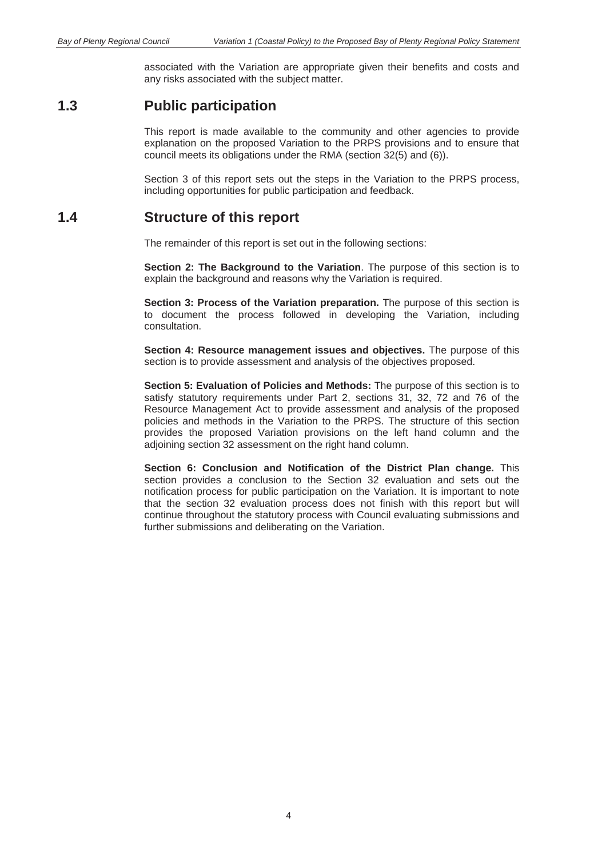associated with the Variation are appropriate given their benefits and costs and any risks associated with the subject matter.

### **1.3 Public participation**

This report is made available to the community and other agencies to provide explanation on the proposed Variation to the PRPS provisions and to ensure that council meets its obligations under the RMA (section 32(5) and (6)).

Section 3 of this report sets out the steps in the Variation to the PRPS process, including opportunities for public participation and feedback.

### **1.4 Structure of this report**

The remainder of this report is set out in the following sections:

**Section 2: The Background to the Variation**. The purpose of this section is to explain the background and reasons why the Variation is required.

**Section 3: Process of the Variation preparation.** The purpose of this section is to document the process followed in developing the Variation, including consultation.

**Section 4: Resource management issues and objectives.** The purpose of this section is to provide assessment and analysis of the objectives proposed.

**Section 5: Evaluation of Policies and Methods:** The purpose of this section is to satisfy statutory requirements under Part 2, sections 31, 32, 72 and 76 of the Resource Management Act to provide assessment and analysis of the proposed policies and methods in the Variation to the PRPS. The structure of this section provides the proposed Variation provisions on the left hand column and the adjoining section 32 assessment on the right hand column.

**Section 6: Conclusion and Notification of the District Plan change.** This section provides a conclusion to the Section 32 evaluation and sets out the notification process for public participation on the Variation. It is important to note that the section 32 evaluation process does not finish with this report but will continue throughout the statutory process with Council evaluating submissions and further submissions and deliberating on the Variation.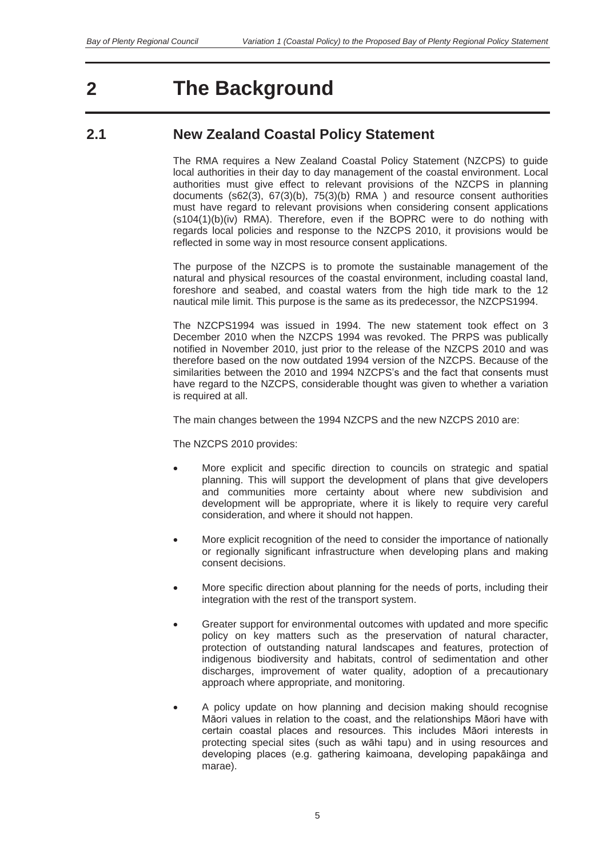# **2 The Background**

# **2.1 New Zealand Coastal Policy Statement**

The RMA requires a New Zealand Coastal Policy Statement (NZCPS) to guide local authorities in their day to day management of the coastal environment. Local authorities must give effect to relevant provisions of the NZCPS in planning documents (s62(3), 67(3)(b), 75(3)(b) RMA ) and resource consent authorities must have regard to relevant provisions when considering consent applications  $(s104(1)(b)(iv)$  RMA). Therefore, even if the BOPRC were to do nothing with regards local policies and response to the NZCPS 2010, it provisions would be reflected in some way in most resource consent applications.

The purpose of the NZCPS is to promote the sustainable management of the natural and physical resources of the coastal environment, including coastal land, foreshore and seabed, and coastal waters from the high tide mark to the 12 nautical mile limit. This purpose is the same as its predecessor, the NZCPS1994.

The NZCPS1994 was issued in 1994. The new statement took effect on 3 December 2010 when the NZCPS 1994 was revoked. The PRPS was publically notified in November 2010, just prior to the release of the NZCPS 2010 and was therefore based on the now outdated 1994 version of the NZCPS. Because of the similarities between the 2010 and 1994 NZCPS's and the fact that consents must have regard to the NZCPS, considerable thought was given to whether a variation is required at all.

The main changes between the 1994 NZCPS and the new NZCPS 2010 are:

The NZCPS 2010 provides:

- More explicit and specific direction to councils on strategic and spatial planning. This will support the development of plans that give developers and communities more certainty about where new subdivision and development will be appropriate, where it is likely to require very careful consideration, and where it should not happen.
- More explicit recognition of the need to consider the importance of nationally or regionally significant infrastructure when developing plans and making consent decisions.
- More specific direction about planning for the needs of ports, including their integration with the rest of the transport system.
- Greater support for environmental outcomes with updated and more specific policy on key matters such as the preservation of natural character, protection of outstanding natural landscapes and features, protection of indigenous biodiversity and habitats, control of sedimentation and other discharges, improvement of water quality, adoption of a precautionary approach where appropriate, and monitoring.
- A policy update on how planning and decision making should recognise Māori values in relation to the coast, and the relationships Māori have with certain coastal places and resources. This includes Māori interests in protecting special sites (such as wāhi tapu) and in using resources and developing places (e.g. gathering kaimoana, developing papakāinga and marae).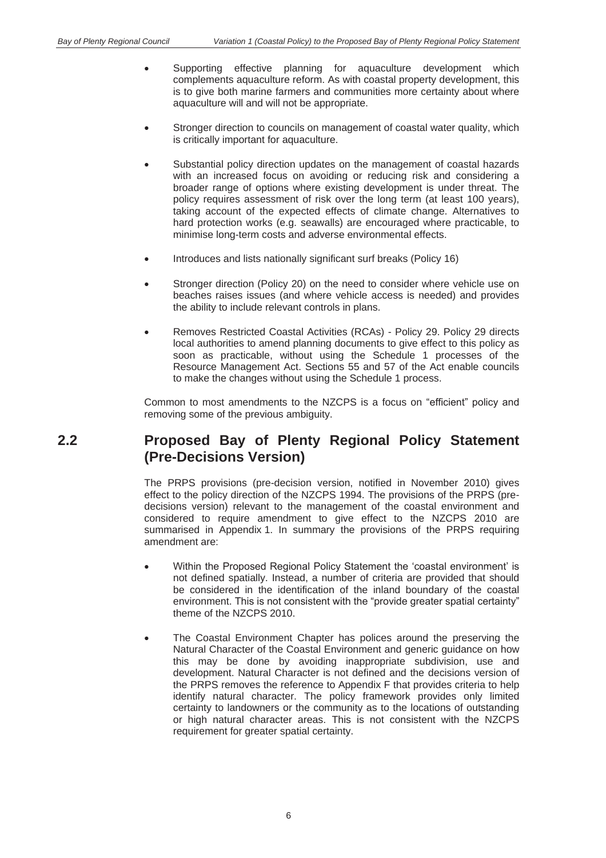- Supporting effective planning for aquaculture development which complements aquaculture reform. As with coastal property development, this is to give both marine farmers and communities more certainty about where aquaculture will and will not be appropriate.
- Stronger direction to councils on management of coastal water quality, which is critically important for aquaculture.
- Substantial policy direction updates on the management of coastal hazards with an increased focus on avoiding or reducing risk and considering a broader range of options where existing development is under threat. The policy requires assessment of risk over the long term (at least 100 years), taking account of the expected effects of climate change. Alternatives to hard protection works (e.g. seawalls) are encouraged where practicable, to minimise long-term costs and adverse environmental effects.
- Introduces and lists nationally significant surf breaks (Policy 16)
- Stronger direction (Policy 20) on the need to consider where vehicle use on beaches raises issues (and where vehicle access is needed) and provides the ability to include relevant controls in plans.
- x Removes Restricted Coastal Activities (RCAs) Policy 29. Policy 29 directs local authorities to amend planning documents to give effect to this policy as soon as practicable, without using the Schedule 1 processes of the Resource Management Act. Sections 55 and 57 of the Act enable councils to make the changes without using the Schedule 1 process.

Common to most amendments to the NZCPS is a focus on "efficient" policy and removing some of the previous ambiguity.

# **2.2 Proposed Bay of Plenty Regional Policy Statement (Pre-Decisions Version)**

The PRPS provisions (pre-decision version, notified in November 2010) gives effect to the policy direction of the NZCPS 1994. The provisions of the PRPS (predecisions version) relevant to the management of the coastal environment and considered to require amendment to give effect to the NZCPS 2010 are summarised in Appendix 1. In summary the provisions of the PRPS requiring amendment are:

- Within the Proposed Regional Policy Statement the 'coastal environment' is not defined spatially. Instead, a number of criteria are provided that should be considered in the identification of the inland boundary of the coastal environment. This is not consistent with the "provide greater spatial certainty" theme of the NZCPS 2010.
- The Coastal Environment Chapter has polices around the preserving the Natural Character of the Coastal Environment and generic guidance on how this may be done by avoiding inappropriate subdivision, use and development. Natural Character is not defined and the decisions version of the PRPS removes the reference to Appendix F that provides criteria to help identify natural character. The policy framework provides only limited certainty to landowners or the community as to the locations of outstanding or high natural character areas. This is not consistent with the NZCPS requirement for greater spatial certainty.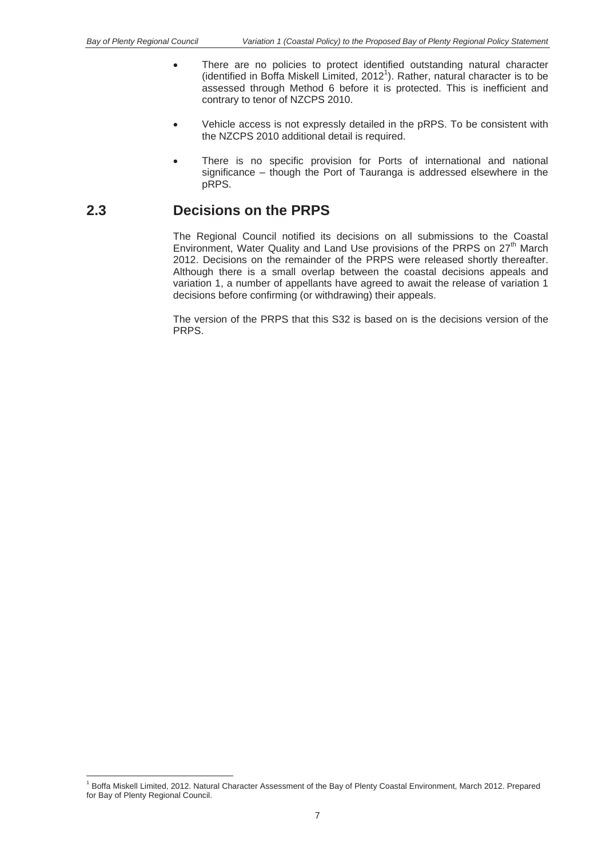- There are no policies to protect identified outstanding natural character (identified in Boffa Miskell Limited, 2012<sup>1</sup>). Rather, natural character is to be assessed through Method 6 before it is protected. This is inefficient and contrary to tenor of NZCPS 2010.
- Vehicle access is not expressly detailed in the pRPS. To be consistent with the NZCPS 2010 additional detail is required.
- There is no specific provision for Ports of international and national significance – though the Port of Tauranga is addressed elsewhere in the pRPS.

## **2.3 Decisions on the PRPS**

The Regional Council notified its decisions on all submissions to the Coastal Environment, Water Quality and Land Use provisions of the PRPS on 27<sup>th</sup> March 2012. Decisions on the remainder of the PRPS were released shortly thereafter. Although there is a small overlap between the coastal decisions appeals and variation 1, a number of appellants have agreed to await the release of variation 1 decisions before confirming (or withdrawing) their appeals.

The version of the PRPS that this S32 is based on is the decisions version of the PRPS.

 1 Boffa Miskell Limited, 2012. Natural Character Assessment of the Bay of Plenty Coastal Environment, March 2012. Prepared for Bay of Plenty Regional Council.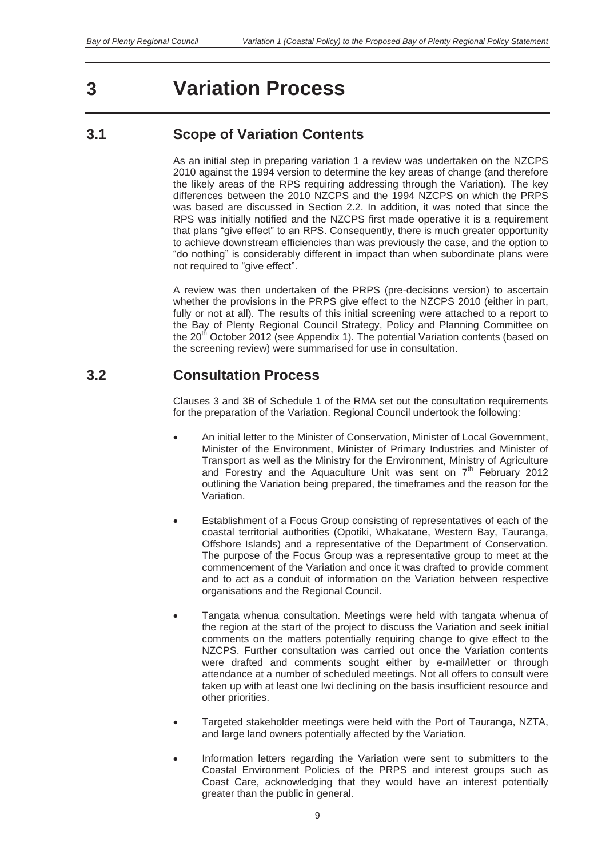# **3 Variation Process**

# **3.1 Scope of Variation Contents**

As an initial step in preparing variation 1 a review was undertaken on the NZCPS 2010 against the 1994 version to determine the key areas of change (and therefore the likely areas of the RPS requiring addressing through the Variation). The key differences between the 2010 NZCPS and the 1994 NZCPS on which the PRPS was based are discussed in Section 2.2. In addition, it was noted that since the RPS was initially notified and the NZCPS first made operative it is a requirement that plans "give effect" to an RPS. Consequently, there is much greater opportunity to achieve downstream efficiencies than was previously the case, and the option to "do nothing" is considerably different in impact than when subordinate plans were not required to "give effect".

A review was then undertaken of the PRPS (pre-decisions version) to ascertain whether the provisions in the PRPS give effect to the NZCPS 2010 (either in part, fully or not at all). The results of this initial screening were attached to a report to the Bay of Plenty Regional Council Strategy, Policy and Planning Committee on the 20<sup>th</sup> October 2012 (see Appendix 1). The potential Variation contents (based on the screening review) were summarised for use in consultation.

# **3.2 Consultation Process**

Clauses 3 and 3B of Schedule 1 of the RMA set out the consultation requirements for the preparation of the Variation. Regional Council undertook the following:

- An initial letter to the Minister of Conservation, Minister of Local Government, Minister of the Environment, Minister of Primary Industries and Minister of Transport as well as the Ministry for the Environment, Ministry of Agriculture and Forestry and the Aquaculture Unit was sent on  $7<sup>th</sup>$  February 2012 outlining the Variation being prepared, the timeframes and the reason for the Variation.
- **Establishment of a Focus Group consisting of representatives of each of the** coastal territorial authorities (Opotiki, Whakatane, Western Bay, Tauranga, Offshore Islands) and a representative of the Department of Conservation. The purpose of the Focus Group was a representative group to meet at the commencement of the Variation and once it was drafted to provide comment and to act as a conduit of information on the Variation between respective organisations and the Regional Council.
- Tangata whenua consultation. Meetings were held with tangata whenua of the region at the start of the project to discuss the Variation and seek initial comments on the matters potentially requiring change to give effect to the NZCPS. Further consultation was carried out once the Variation contents were drafted and comments sought either by e-mail/letter or through attendance at a number of scheduled meetings. Not all offers to consult were taken up with at least one Iwi declining on the basis insufficient resource and other priorities.
- Targeted stakeholder meetings were held with the Port of Tauranga, NZTA, and large land owners potentially affected by the Variation.
- Information letters regarding the Variation were sent to submitters to the Coastal Environment Policies of the PRPS and interest groups such as Coast Care, acknowledging that they would have an interest potentially greater than the public in general.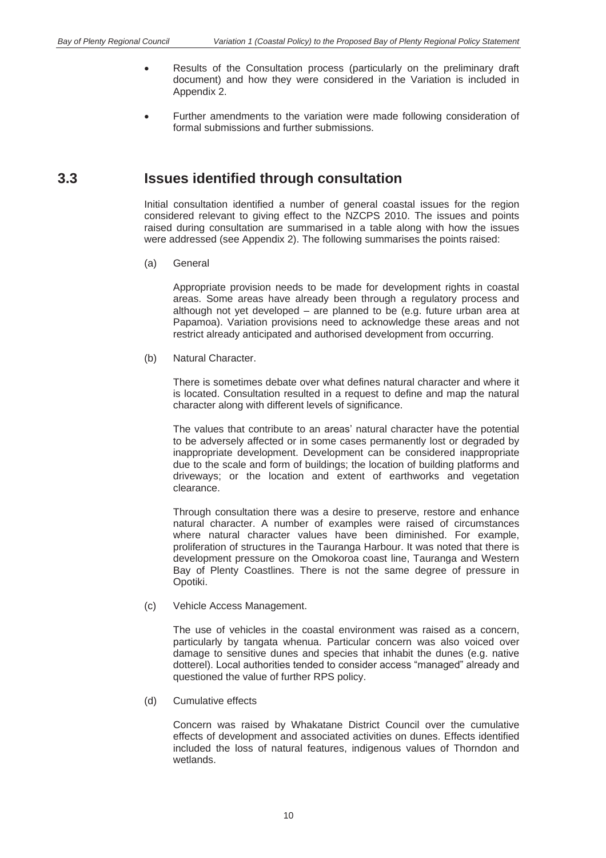- Results of the Consultation process (particularly on the preliminary draft document) and how they were considered in the Variation is included in Appendix 2.
- Further amendments to the variation were made following consideration of formal submissions and further submissions.

## **3.3 Issues identified through consultation**

Initial consultation identified a number of general coastal issues for the region considered relevant to giving effect to the NZCPS 2010. The issues and points raised during consultation are summarised in a table along with how the issues were addressed (see Appendix 2). The following summarises the points raised:

(a) General

Appropriate provision needs to be made for development rights in coastal areas. Some areas have already been through a regulatory process and although not yet developed – are planned to be (e.g. future urban area at Papamoa). Variation provisions need to acknowledge these areas and not restrict already anticipated and authorised development from occurring.

(b) Natural Character.

There is sometimes debate over what defines natural character and where it is located. Consultation resulted in a request to define and map the natural character along with different levels of significance.

The values that contribute to an areas' natural character have the potential to be adversely affected or in some cases permanently lost or degraded by inappropriate development. Development can be considered inappropriate due to the scale and form of buildings; the location of building platforms and driveways; or the location and extent of earthworks and vegetation clearance.

Through consultation there was a desire to preserve, restore and enhance natural character. A number of examples were raised of circumstances where natural character values have been diminished. For example, proliferation of structures in the Tauranga Harbour. It was noted that there is development pressure on the Omokoroa coast line, Tauranga and Western Bay of Plenty Coastlines. There is not the same degree of pressure in Opotiki.

(c) Vehicle Access Management.

The use of vehicles in the coastal environment was raised as a concern, particularly by tangata whenua. Particular concern was also voiced over damage to sensitive dunes and species that inhabit the dunes (e.g. native dotterel). Local authorities tended to consider access "managed" already and questioned the value of further RPS policy.

(d) Cumulative effects

Concern was raised by Whakatane District Council over the cumulative effects of development and associated activities on dunes. Effects identified included the loss of natural features, indigenous values of Thorndon and wetlands.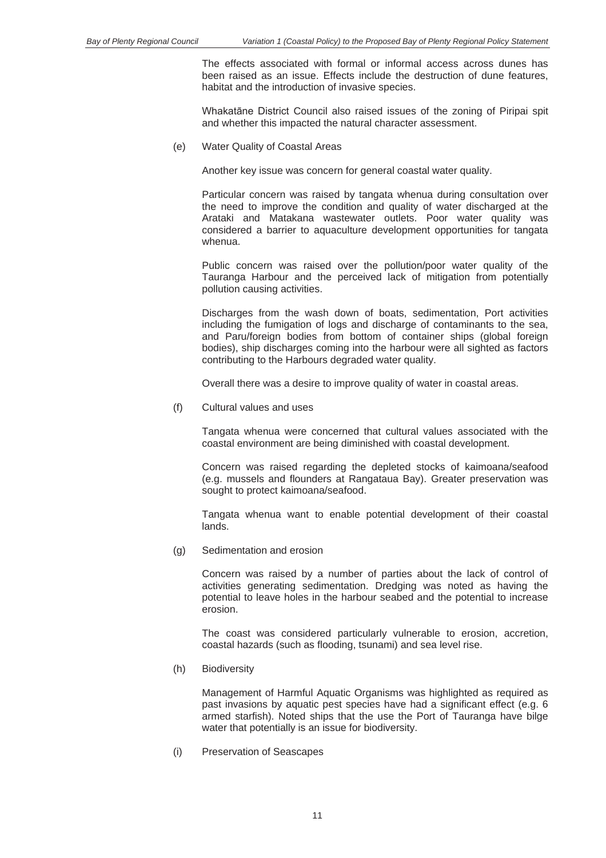The effects associated with formal or informal access across dunes has been raised as an issue. Effects include the destruction of dune features, habitat and the introduction of invasive species.

Whakatāne District Council also raised issues of the zoning of Piripai spit and whether this impacted the natural character assessment.

(e) Water Quality of Coastal Areas

Another key issue was concern for general coastal water quality.

Particular concern was raised by tangata whenua during consultation over the need to improve the condition and quality of water discharged at the Arataki and Matakana wastewater outlets. Poor water quality was considered a barrier to aquaculture development opportunities for tangata whenua.

Public concern was raised over the pollution/poor water quality of the Tauranga Harbour and the perceived lack of mitigation from potentially pollution causing activities.

Discharges from the wash down of boats, sedimentation, Port activities including the fumigation of logs and discharge of contaminants to the sea, and Paru/foreign bodies from bottom of container ships (global foreign bodies), ship discharges coming into the harbour were all sighted as factors contributing to the Harbours degraded water quality.

Overall there was a desire to improve quality of water in coastal areas.

(f) Cultural values and uses

Tangata whenua were concerned that cultural values associated with the coastal environment are being diminished with coastal development.

Concern was raised regarding the depleted stocks of kaimoana/seafood (e.g. mussels and flounders at Rangataua Bay). Greater preservation was sought to protect kaimoana/seafood.

Tangata whenua want to enable potential development of their coastal lands.

(g) Sedimentation and erosion

Concern was raised by a number of parties about the lack of control of activities generating sedimentation. Dredging was noted as having the potential to leave holes in the harbour seabed and the potential to increase erosion.

The coast was considered particularly vulnerable to erosion, accretion, coastal hazards (such as flooding, tsunami) and sea level rise.

(h) Biodiversity

Management of Harmful Aquatic Organisms was highlighted as required as past invasions by aquatic pest species have had a significant effect (e.g. 6 armed starfish). Noted ships that the use the Port of Tauranga have bilge water that potentially is an issue for biodiversity.

(i) Preservation of Seascapes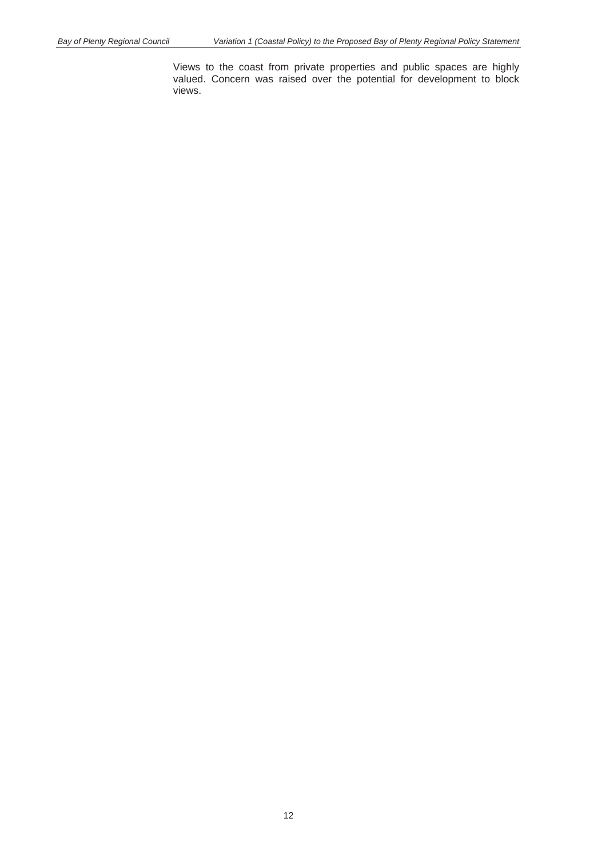Views to the coast from private properties and public spaces are highly valued. Concern was raised over the potential for development to block views.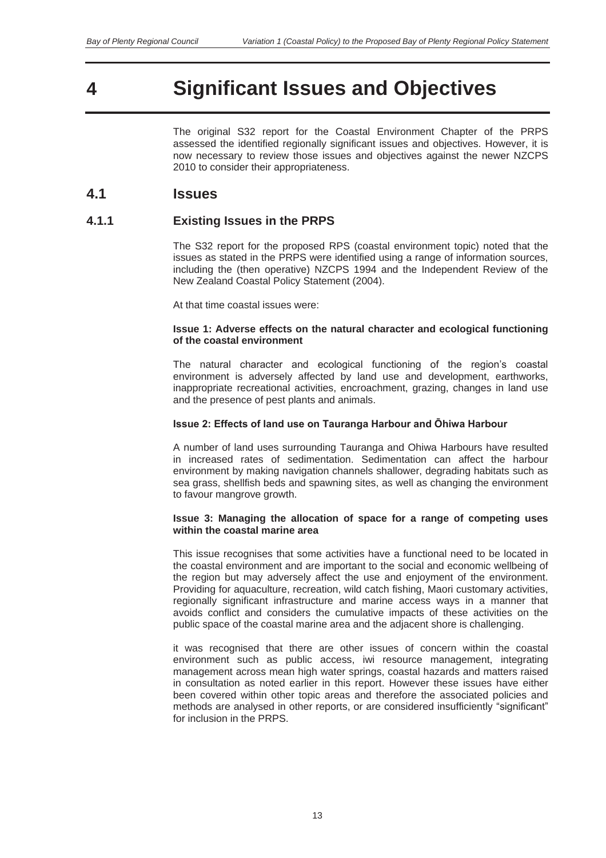# **4 Significant Issues and Objectives**

The original S32 report for the Coastal Environment Chapter of the PRPS assessed the identified regionally significant issues and objectives. However, it is now necessary to review those issues and objectives against the newer NZCPS 2010 to consider their appropriateness.

### **4.1 Issues**

#### **4.1.1 Existing Issues in the PRPS**

The S32 report for the proposed RPS (coastal environment topic) noted that the issues as stated in the PRPS were identified using a range of information sources, including the (then operative) NZCPS 1994 and the Independent Review of the New Zealand Coastal Policy Statement (2004).

At that time coastal issues were:

#### **Issue 1: Adverse effects on the natural character and ecological functioning of the coastal environment**

The natural character and ecological functioning of the region's coastal environment is adversely affected by land use and development, earthworks, inappropriate recreational activities, encroachment, grazing, changes in land use and the presence of pest plants and animals.

#### **Issue 2: Effects of land use on Tauranga Harbour and Ōhiwa Harbour**

A number of land uses surrounding Tauranga and Ohiwa Harbours have resulted in increased rates of sedimentation. Sedimentation can affect the harbour environment by making navigation channels shallower, degrading habitats such as sea grass, shellfish beds and spawning sites, as well as changing the environment to favour mangrove growth.

#### **Issue 3: Managing the allocation of space for a range of competing uses within the coastal marine area**

This issue recognises that some activities have a functional need to be located in the coastal environment and are important to the social and economic wellbeing of the region but may adversely affect the use and enjoyment of the environment. Providing for aquaculture, recreation, wild catch fishing, Maori customary activities, regionally significant infrastructure and marine access ways in a manner that avoids conflict and considers the cumulative impacts of these activities on the public space of the coastal marine area and the adjacent shore is challenging.

it was recognised that there are other issues of concern within the coastal environment such as public access, iwi resource management, integrating management across mean high water springs, coastal hazards and matters raised in consultation as noted earlier in this report. However these issues have either been covered within other topic areas and therefore the associated policies and methods are analysed in other reports, or are considered insufficiently "significant" for inclusion in the PRPS.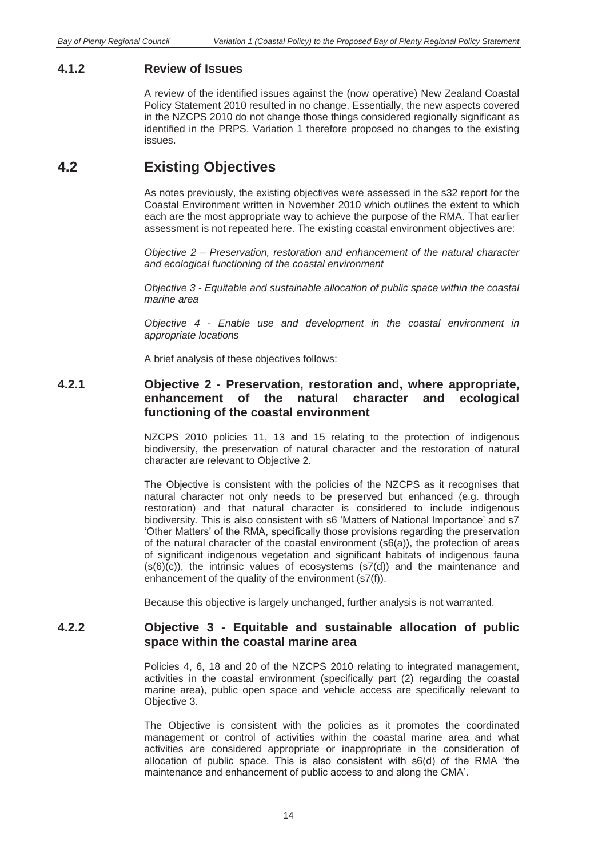#### **4.1.2 Review of Issues**

A review of the identified issues against the (now operative) New Zealand Coastal Policy Statement 2010 resulted in no change. Essentially, the new aspects covered in the NZCPS 2010 do not change those things considered regionally significant as identified in the PRPS. Variation 1 therefore proposed no changes to the existing issues.

## **4.2 Existing Objectives**

As notes previously, the existing objectives were assessed in the s32 report for the Coastal Environment written in November 2010 which outlines the extent to which each are the most appropriate way to achieve the purpose of the RMA. That earlier assessment is not repeated here. The existing coastal environment objectives are:

*Objective 2 – Preservation, restoration and enhancement of the natural character and ecological functioning of the coastal environment* 

*Objective 3 - Equitable and sustainable allocation of public space within the coastal marine area* 

*Objective 4 - Enable use and development in the coastal environment in appropriate locations* 

A brief analysis of these objectives follows:

#### **4.2.1 Objective 2 - Preservation, restoration and, where appropriate, enhancement of the natural character and ecological functioning of the coastal environment**

NZCPS 2010 policies 11, 13 and 15 relating to the protection of indigenous biodiversity, the preservation of natural character and the restoration of natural character are relevant to Objective 2.

The Objective is consistent with the policies of the NZCPS as it recognises that natural character not only needs to be preserved but enhanced (e.g. through restoration) and that natural character is considered to include indigenous biodiversity. This is also consistent with s6 'Matters of National Importance' and s7 'Other Matters' of the RMA, specifically those provisions regarding the preservation of the natural character of the coastal environment (s6(a)), the protection of areas of significant indigenous vegetation and significant habitats of indigenous fauna  $(s(6)(c))$ , the intrinsic values of ecosystems  $(s7(d))$  and the maintenance and enhancement of the quality of the environment (s7(f)).

Because this objective is largely unchanged, further analysis is not warranted.

#### **4.2.2 Objective 3 - Equitable and sustainable allocation of public space within the coastal marine area**

Policies 4, 6, 18 and 20 of the NZCPS 2010 relating to integrated management, activities in the coastal environment (specifically part (2) regarding the coastal marine area), public open space and vehicle access are specifically relevant to Objective 3.

The Objective is consistent with the policies as it promotes the coordinated management or control of activities within the coastal marine area and what activities are considered appropriate or inappropriate in the consideration of allocation of public space. This is also consistent with s6(d) of the RMA 'the maintenance and enhancement of public access to and along the CMA'.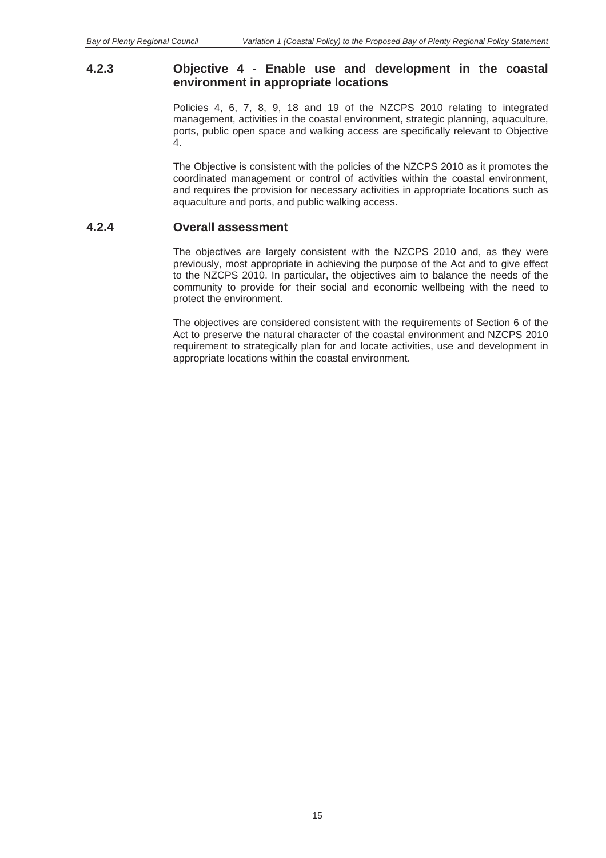#### **4.2.3 Objective 4 - Enable use and development in the coastal environment in appropriate locations**

Policies 4, 6, 7, 8, 9, 18 and 19 of the NZCPS 2010 relating to integrated management, activities in the coastal environment, strategic planning, aquaculture, ports, public open space and walking access are specifically relevant to Objective 4.

The Objective is consistent with the policies of the NZCPS 2010 as it promotes the coordinated management or control of activities within the coastal environment, and requires the provision for necessary activities in appropriate locations such as aquaculture and ports, and public walking access.

#### **4.2.4 Overall assessment**

The objectives are largely consistent with the NZCPS 2010 and, as they were previously, most appropriate in achieving the purpose of the Act and to give effect to the NZCPS 2010. In particular, the objectives aim to balance the needs of the community to provide for their social and economic wellbeing with the need to protect the environment.

The objectives are considered consistent with the requirements of Section 6 of the Act to preserve the natural character of the coastal environment and NZCPS 2010 requirement to strategically plan for and locate activities, use and development in appropriate locations within the coastal environment.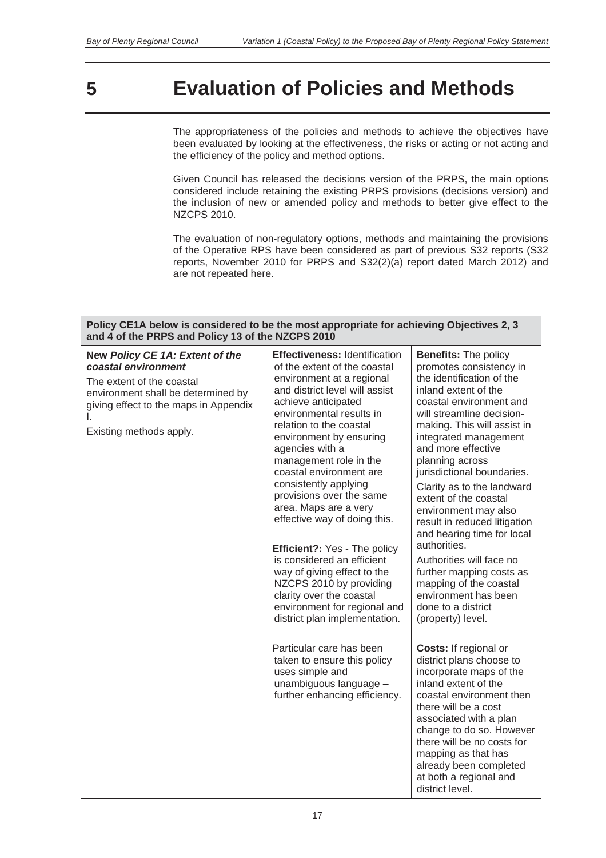# **5 Evaluation of Policies and Methods**

The appropriateness of the policies and methods to achieve the objectives have been evaluated by looking at the effectiveness, the risks or acting or not acting and the efficiency of the policy and method options.

Given Council has released the decisions version of the PRPS, the main options considered include retaining the existing PRPS provisions (decisions version) and the inclusion of new or amended policy and methods to better give effect to the NZCPS 2010.

The evaluation of non-regulatory options, methods and maintaining the provisions of the Operative RPS have been considered as part of previous S32 reports (S32 reports, November 2010 for PRPS and S32(2)(a) report dated March 2012) and are not repeated here.

| Policy CE1A below is considered to be the most appropriate for achieving Objectives 2, 3<br>and 4 of the PRPS and Policy 13 of the NZCPS 2010                                                       |                                                                                                                                                                                                                                                                                                                                                                                                                                                                                                                                                                                                                                                                                                                                                                                                  |                                                                                                                                                                                                                                                                                                                                                                                                                                                                                                                                                                                                                                                                                                                                                          |  |
|-----------------------------------------------------------------------------------------------------------------------------------------------------------------------------------------------------|--------------------------------------------------------------------------------------------------------------------------------------------------------------------------------------------------------------------------------------------------------------------------------------------------------------------------------------------------------------------------------------------------------------------------------------------------------------------------------------------------------------------------------------------------------------------------------------------------------------------------------------------------------------------------------------------------------------------------------------------------------------------------------------------------|----------------------------------------------------------------------------------------------------------------------------------------------------------------------------------------------------------------------------------------------------------------------------------------------------------------------------------------------------------------------------------------------------------------------------------------------------------------------------------------------------------------------------------------------------------------------------------------------------------------------------------------------------------------------------------------------------------------------------------------------------------|--|
| New Policy CE 1A: Extent of the<br>coastal environment<br>The extent of the coastal<br>environment shall be determined by<br>giving effect to the maps in Appendix<br>L.<br>Existing methods apply. | <b>Effectiveness: Identification</b><br>of the extent of the coastal<br>environment at a regional<br>and district level will assist<br>achieve anticipated<br>environmental results in<br>relation to the coastal<br>environment by ensuring<br>agencies with a<br>management role in the<br>coastal environment are<br>consistently applying<br>provisions over the same<br>area. Maps are a very<br>effective way of doing this.<br>Efficient?: Yes - The policy<br>is considered an efficient<br>way of giving effect to the<br>NZCPS 2010 by providing<br>clarity over the coastal<br>environment for regional and<br>district plan implementation.<br>Particular care has been<br>taken to ensure this policy<br>uses simple and<br>unambiguous language -<br>further enhancing efficiency. | <b>Benefits: The policy</b><br>promotes consistency in<br>the identification of the<br>inland extent of the<br>coastal environment and<br>will streamline decision-<br>making. This will assist in<br>integrated management<br>and more effective<br>planning across<br>jurisdictional boundaries.<br>Clarity as to the landward<br>extent of the coastal<br>environment may also<br>result in reduced litigation<br>and hearing time for local<br>authorities.<br>Authorities will face no<br>further mapping costs as<br>mapping of the coastal<br>environment has been<br>done to a district<br>(property) level.<br>Costs: If regional or<br>district plans choose to<br>incorporate maps of the<br>inland extent of the<br>coastal environment then |  |
|                                                                                                                                                                                                     |                                                                                                                                                                                                                                                                                                                                                                                                                                                                                                                                                                                                                                                                                                                                                                                                  | there will be a cost<br>associated with a plan<br>change to do so. However<br>there will be no costs for<br>mapping as that has<br>already been completed<br>at both a regional and<br>district level.                                                                                                                                                                                                                                                                                                                                                                                                                                                                                                                                                   |  |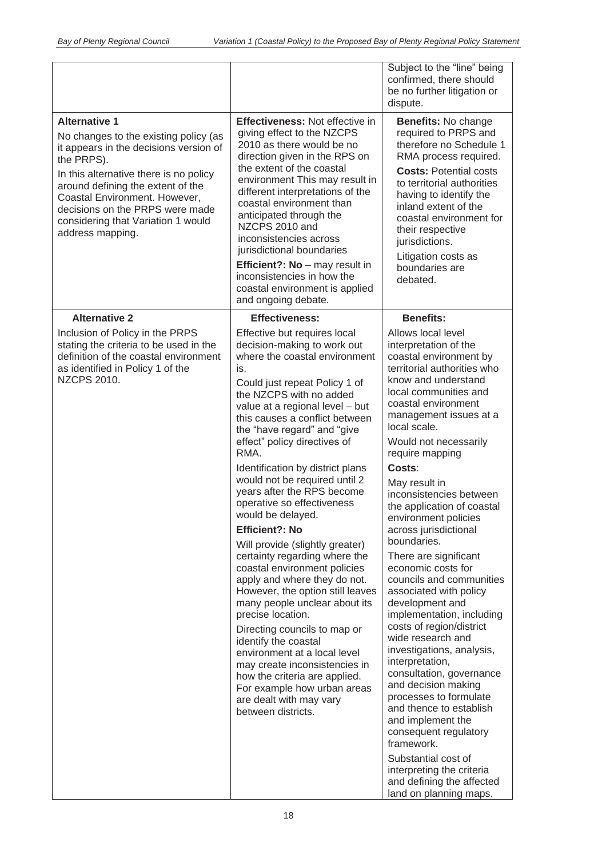| dispute.<br><b>Alternative 1</b><br>Effectiveness: Not effective in<br>giving effect to the NZCPS<br>No changes to the existing policy (as<br>2010 as there would be no<br>it appears in the decisions version of<br>direction given in the RPS on<br>the PRPS).<br>the extent of the coastal<br>In this alternative there is no policy<br>environment This may result in<br>around defining the extent of the<br>different interpretations of the<br>Coastal Environment. However,<br>coastal environment than<br>decisions on the PRPS were made<br>anticipated through the<br>considering that Variation 1 would<br>NZCPS 2010 and<br>their respective<br>address mapping.<br>inconsistencies across<br>jurisdictions.<br>jurisdictional boundaries<br>Efficient?: No - may result in<br>boundaries are<br>inconsistencies in how the<br>debated.<br>coastal environment is applied<br>and ongoing debate.<br><b>Alternative 2</b><br><b>Benefits:</b><br><b>Effectiveness:</b><br>Inclusion of Policy in the PRPS<br>Effective but requires local<br>Allows local level<br>stating the criteria to be used in the<br>decision-making to work out<br>definition of the coastal environment<br>where the coastal environment<br>as identified in Policy 1 of the<br>is.<br><b>NZCPS 2010.</b><br>Could just repeat Policy 1 of<br>the NZCPS with no added<br>value at a regional level - but<br>this causes a conflict between<br>local scale.<br>the "have regard" and "give<br>effect" policy directives of<br>RMA.<br>require mapping<br>Identification by district plans<br>Costs:<br>would not be required until 2<br>May result in<br>years after the RPS become<br>operative so effectiveness<br>would be delayed.<br><b>Efficient?: No</b><br>boundaries.<br>Will provide (slightly greater)<br>certainty regarding where the<br>coastal environment policies<br>apply and where they do not.<br>However, the option still leaves<br>many people unclear about its<br>development and<br>precise location.<br>Directing councils to map or<br>wide research and<br>identify the coastal<br>environment at a local level<br>interpretation,<br>may create inconsistencies in<br>how the criteria are applied. |  |                                                                                                                                                                                                                                                                                                                                                                                                                                                                                                                                                                                                                                                                                                          |
|------------------------------------------------------------------------------------------------------------------------------------------------------------------------------------------------------------------------------------------------------------------------------------------------------------------------------------------------------------------------------------------------------------------------------------------------------------------------------------------------------------------------------------------------------------------------------------------------------------------------------------------------------------------------------------------------------------------------------------------------------------------------------------------------------------------------------------------------------------------------------------------------------------------------------------------------------------------------------------------------------------------------------------------------------------------------------------------------------------------------------------------------------------------------------------------------------------------------------------------------------------------------------------------------------------------------------------------------------------------------------------------------------------------------------------------------------------------------------------------------------------------------------------------------------------------------------------------------------------------------------------------------------------------------------------------------------------------------------------------------------------------------------------------------------------------------------------------------------------------------------------------------------------------------------------------------------------------------------------------------------------------------------------------------------------------------------------------------------------------------------------------------------------------------------------------------------------------------|--|----------------------------------------------------------------------------------------------------------------------------------------------------------------------------------------------------------------------------------------------------------------------------------------------------------------------------------------------------------------------------------------------------------------------------------------------------------------------------------------------------------------------------------------------------------------------------------------------------------------------------------------------------------------------------------------------------------|
|                                                                                                                                                                                                                                                                                                                                                                                                                                                                                                                                                                                                                                                                                                                                                                                                                                                                                                                                                                                                                                                                                                                                                                                                                                                                                                                                                                                                                                                                                                                                                                                                                                                                                                                                                                                                                                                                                                                                                                                                                                                                                                                                                                                                                        |  | Subject to the "line" being<br>confirmed, there should<br>be no further litigation or                                                                                                                                                                                                                                                                                                                                                                                                                                                                                                                                                                                                                    |
|                                                                                                                                                                                                                                                                                                                                                                                                                                                                                                                                                                                                                                                                                                                                                                                                                                                                                                                                                                                                                                                                                                                                                                                                                                                                                                                                                                                                                                                                                                                                                                                                                                                                                                                                                                                                                                                                                                                                                                                                                                                                                                                                                                                                                        |  | Benefits: No change<br>required to PRPS and<br>therefore no Schedule 1<br>RMA process required.<br><b>Costs: Potential costs</b><br>to territorial authorities<br>having to identify the<br>inland extent of the<br>coastal environment for<br>Litigation costs as                                                                                                                                                                                                                                                                                                                                                                                                                                       |
|                                                                                                                                                                                                                                                                                                                                                                                                                                                                                                                                                                                                                                                                                                                                                                                                                                                                                                                                                                                                                                                                                                                                                                                                                                                                                                                                                                                                                                                                                                                                                                                                                                                                                                                                                                                                                                                                                                                                                                                                                                                                                                                                                                                                                        |  |                                                                                                                                                                                                                                                                                                                                                                                                                                                                                                                                                                                                                                                                                                          |
| For example how urban areas<br>are dealt with may vary<br>between districts.<br>and implement the<br>framework.<br>Substantial cost of                                                                                                                                                                                                                                                                                                                                                                                                                                                                                                                                                                                                                                                                                                                                                                                                                                                                                                                                                                                                                                                                                                                                                                                                                                                                                                                                                                                                                                                                                                                                                                                                                                                                                                                                                                                                                                                                                                                                                                                                                                                                                 |  | interpretation of the<br>coastal environment by<br>territorial authorities who<br>know and understand<br>local communities and<br>coastal environment<br>management issues at a<br>Would not necessarily<br>inconsistencies between<br>the application of coastal<br>environment policies<br>across jurisdictional<br>There are significant<br>economic costs for<br>councils and communities<br>associated with policy<br>implementation, including<br>costs of region/district<br>investigations, analysis,<br>consultation, governance<br>and decision making<br>processes to formulate<br>and thence to establish<br>consequent regulatory<br>interpreting the criteria<br>and defining the affected |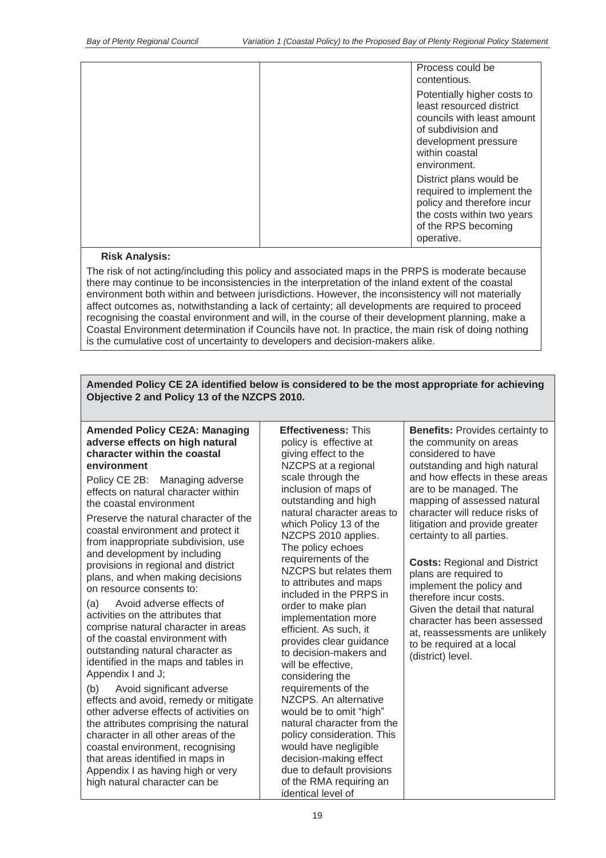| Process could be<br>contentious.                                                                                                                                      |
|-----------------------------------------------------------------------------------------------------------------------------------------------------------------------|
| Potentially higher costs to<br>least resourced district<br>councils with least amount<br>of subdivision and<br>development pressure<br>within coastal<br>environment. |
| District plans would be<br>required to implement the<br>policy and therefore incur<br>the costs within two years<br>of the RPS becoming<br>operative.                 |

#### **Risk Analysis:**

The risk of not acting/including this policy and associated maps in the PRPS is moderate because there may continue to be inconsistencies in the interpretation of the inland extent of the coastal environment both within and between jurisdictions. However, the inconsistency will not materially affect outcomes as, notwithstanding a lack of certainty; all developments are required to proceed recognising the coastal environment and will, in the course of their development planning, make a Coastal Environment determination if Councils have not. In practice, the main risk of doing nothing is the cumulative cost of uncertainty to developers and decision-makers alike.

#### **Amended Policy CE 2A identified below is considered to be the most appropriate for achieving Objective 2 and Policy 13 of the NZCPS 2010.**

#### **Amended Policy CE2A: Managing adverse effects on high natural character within the coastal environment**

Policy CE 2B: Managing adverse effects on natural character within the coastal environment

Preserve the natural character of the coastal environment and protect it from inappropriate subdivision, use and development by including provisions in regional and district plans, and when making decisions on resource consents to:

(a) Avoid adverse effects of activities on the attributes that comprise natural character in areas of the coastal environment with outstanding natural character as identified in the maps and tables in Appendix I and J;

(b) Avoid significant adverse effects and avoid, remedy or mitigate other adverse effects of activities on the attributes comprising the natural character in all other areas of the coastal environment, recognising that areas identified in maps in Appendix I as having high or very high natural character can be

**Effectiveness:** This policy is effective at giving effect to the NZCPS at a regional scale through the inclusion of maps of outstanding and high natural character areas to which Policy 13 of the NZCPS 2010 applies. The policy echoes requirements of the NZCPS but relates them to attributes and maps included in the PRPS in order to make plan implementation more efficient. As such, it provides clear guidance to decision-makers and will be effective, considering the requirements of the NZCPS. An alternative would be to omit "high" natural character from the policy consideration. This would have negligible decision-making effect due to default provisions of the RMA requiring an identical level of

**Benefits:** Provides certainty to the community on areas considered to have outstanding and high natural and how effects in these areas are to be managed. The mapping of assessed natural character will reduce risks of litigation and provide greater certainty to all parties.

**Costs:** Regional and District plans are required to implement the policy and therefore incur costs. Given the detail that natural character has been assessed at, reassessments are unlikely to be required at a local (district) level.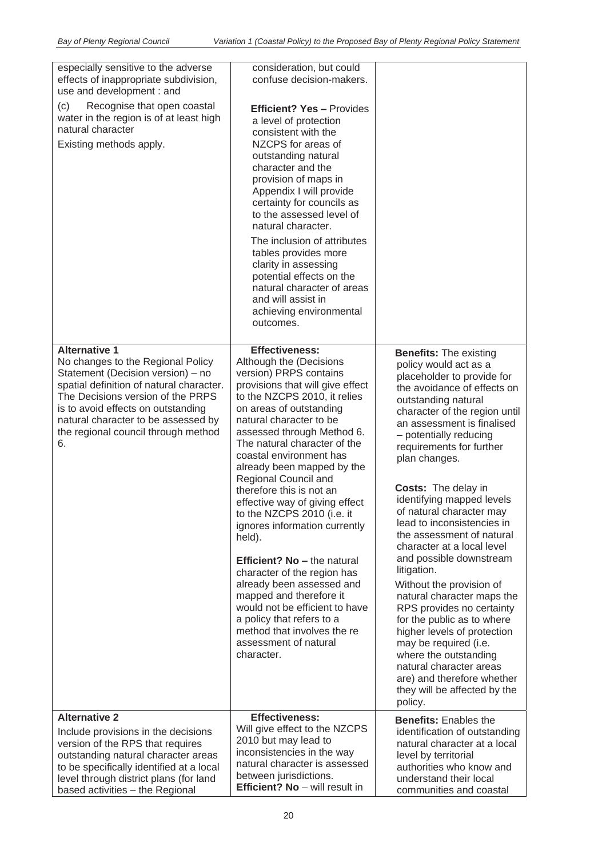| especially sensitive to the adverse<br>effects of inappropriate subdivision,<br>use and development : and                                                                                                                                                                                                 | consideration, but could<br>confuse decision-makers.                                                                                                                                                                                                                                                                                                                                                                                                                                                                                                                                                                                                                                                                                                         |                                                                                                                                                                                                                                                                                                                                                                                                                                                                                                                                                                                                                                                                                                                                                                                                                      |
|-----------------------------------------------------------------------------------------------------------------------------------------------------------------------------------------------------------------------------------------------------------------------------------------------------------|--------------------------------------------------------------------------------------------------------------------------------------------------------------------------------------------------------------------------------------------------------------------------------------------------------------------------------------------------------------------------------------------------------------------------------------------------------------------------------------------------------------------------------------------------------------------------------------------------------------------------------------------------------------------------------------------------------------------------------------------------------------|----------------------------------------------------------------------------------------------------------------------------------------------------------------------------------------------------------------------------------------------------------------------------------------------------------------------------------------------------------------------------------------------------------------------------------------------------------------------------------------------------------------------------------------------------------------------------------------------------------------------------------------------------------------------------------------------------------------------------------------------------------------------------------------------------------------------|
| (c)<br>Recognise that open coastal<br>water in the region is of at least high<br>natural character<br>Existing methods apply.                                                                                                                                                                             | <b>Efficient? Yes - Provides</b><br>a level of protection<br>consistent with the<br>NZCPS for areas of<br>outstanding natural<br>character and the<br>provision of maps in<br>Appendix I will provide<br>certainty for councils as<br>to the assessed level of<br>natural character.<br>The inclusion of attributes<br>tables provides more<br>clarity in assessing<br>potential effects on the<br>natural character of areas<br>and will assist in<br>achieving environmental<br>outcomes.                                                                                                                                                                                                                                                                  |                                                                                                                                                                                                                                                                                                                                                                                                                                                                                                                                                                                                                                                                                                                                                                                                                      |
| <b>Alternative 1</b><br>No changes to the Regional Policy<br>Statement (Decision version) - no<br>spatial definition of natural character.<br>The Decisions version of the PRPS<br>is to avoid effects on outstanding<br>natural character to be assessed by<br>the regional council through method<br>6. | <b>Effectiveness:</b><br>Although the (Decisions<br>version) PRPS contains<br>provisions that will give effect<br>to the NZCPS 2010, it relies<br>on areas of outstanding<br>natural character to be<br>assessed through Method 6.<br>The natural character of the<br>coastal environment has<br>already been mapped by the<br>Regional Council and<br>therefore this is not an<br>effective way of giving effect<br>to the NZCPS 2010 (i.e. it<br>ignores information currently<br>held).<br><b>Efficient? No - the natural</b><br>character of the region has<br>already been assessed and<br>mapped and therefore it<br>would not be efficient to have<br>a policy that refers to a<br>method that involves the re<br>assessment of natural<br>character. | <b>Benefits: The existing</b><br>policy would act as a<br>placeholder to provide for<br>the avoidance of effects on<br>outstanding natural<br>character of the region until<br>an assessment is finalised<br>- potentially reducing<br>requirements for further<br>plan changes.<br><b>Costs:</b> The delay in<br>identifying mapped levels<br>of natural character may<br>lead to inconsistencies in<br>the assessment of natural<br>character at a local level<br>and possible downstream<br>litigation.<br>Without the provision of<br>natural character maps the<br>RPS provides no certainty<br>for the public as to where<br>higher levels of protection<br>may be required (i.e.<br>where the outstanding<br>natural character areas<br>are) and therefore whether<br>they will be affected by the<br>policy. |
| <b>Alternative 2</b><br>Include provisions in the decisions<br>version of the RPS that requires<br>outstanding natural character areas<br>to be specifically identified at a local<br>level through district plans (for land                                                                              | <b>Effectiveness:</b><br>Will give effect to the NZCPS<br>2010 but may lead to<br>inconsistencies in the way<br>natural character is assessed<br>between jurisdictions.<br>Efficient? No - will result in                                                                                                                                                                                                                                                                                                                                                                                                                                                                                                                                                    | <b>Benefits: Enables the</b><br>identification of outstanding<br>natural character at a local<br>level by territorial<br>authorities who know and<br>understand their local                                                                                                                                                                                                                                                                                                                                                                                                                                                                                                                                                                                                                                          |
| based activities - the Regional                                                                                                                                                                                                                                                                           |                                                                                                                                                                                                                                                                                                                                                                                                                                                                                                                                                                                                                                                                                                                                                              | communities and coastal                                                                                                                                                                                                                                                                                                                                                                                                                                                                                                                                                                                                                                                                                                                                                                                              |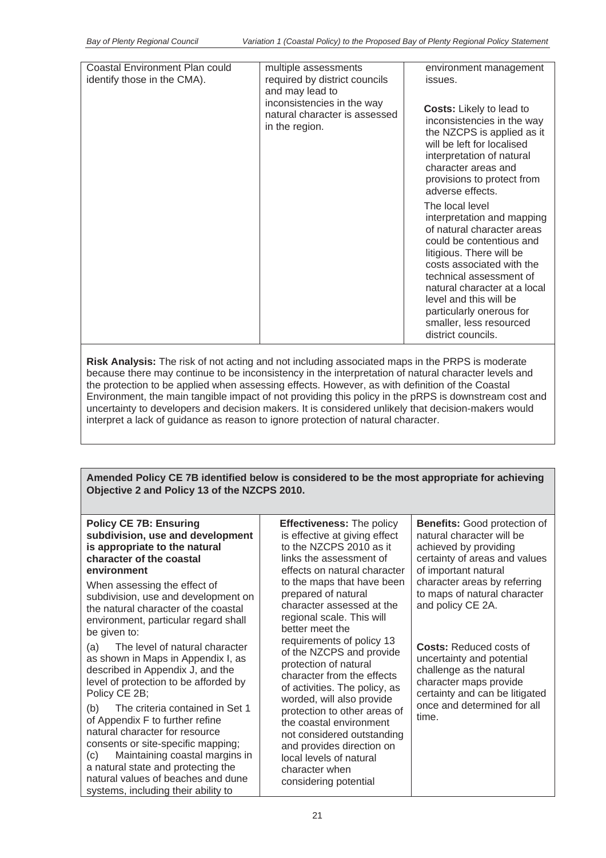| Coastal Environment Plan could<br>identify those in the CMA). | multiple assessments<br>required by district councils<br>and may lead to<br>inconsistencies in the way<br>natural character is assessed<br>in the region. | environment management<br>issues.<br><b>Costs:</b> Likely to lead to<br>inconsistencies in the way<br>the NZCPS is applied as it<br>will be left for localised<br>interpretation of natural<br>character areas and<br>provisions to protect from<br>adverse effects.<br>The local level<br>interpretation and mapping<br>of natural character areas<br>could be contentious and |
|---------------------------------------------------------------|-----------------------------------------------------------------------------------------------------------------------------------------------------------|---------------------------------------------------------------------------------------------------------------------------------------------------------------------------------------------------------------------------------------------------------------------------------------------------------------------------------------------------------------------------------|
|                                                               |                                                                                                                                                           | litigious. There will be<br>costs associated with the<br>technical assessment of<br>natural character at a local<br>level and this will be<br>particularly onerous for<br>smaller, less resourced<br>district councils.                                                                                                                                                         |

**Risk Analysis:** The risk of not acting and not including associated maps in the PRPS is moderate because there may continue to be inconsistency in the interpretation of natural character levels and the protection to be applied when assessing effects. However, as with definition of the Coastal Environment, the main tangible impact of not providing this policy in the pRPS is downstream cost and uncertainty to developers and decision makers. It is considered unlikely that decision-makers would interpret a lack of guidance as reason to ignore protection of natural character.

**Amended Policy CE 7B identified below is considered to be the most appropriate for achieving Objective 2 and Policy 13 of the NZCPS 2010.** 

| <b>Policy CE 7B: Ensuring</b><br>subdivision, use and development<br>is appropriate to the natural<br>character of the coastal<br>environment<br>When assessing the effect of<br>subdivision, use and development on<br>the natural character of the coastal<br>environment, particular regard shall                                                                                    | <b>Effectiveness: The policy</b><br>is effective at giving effect<br>to the NZCPS 2010 as it<br>links the assessment of<br>effects on natural character<br>to the maps that have been<br>prepared of natural<br>character assessed at the<br>regional scale. This will<br>better meet the                                   | <b>Benefits:</b> Good protection of<br>natural character will be<br>achieved by providing<br>certainty of areas and values<br>of important natural<br>character areas by referring<br>to maps of natural character<br>and policy CE 2A. |
|-----------------------------------------------------------------------------------------------------------------------------------------------------------------------------------------------------------------------------------------------------------------------------------------------------------------------------------------------------------------------------------------|-----------------------------------------------------------------------------------------------------------------------------------------------------------------------------------------------------------------------------------------------------------------------------------------------------------------------------|-----------------------------------------------------------------------------------------------------------------------------------------------------------------------------------------------------------------------------------------|
| be given to:<br>The level of natural character<br>(a)<br>as shown in Maps in Appendix I, as<br>described in Appendix J, and the<br>level of protection to be afforded by<br>Policy CE 2B;<br>The criteria contained in Set 1<br>(b)<br>of Appendix F to further refine<br>natural character for resource<br>consents or site-specific mapping;<br>Maintaining coastal margins in<br>(C) | requirements of policy 13<br>of the NZCPS and provide<br>protection of natural<br>character from the effects<br>of activities. The policy, as<br>worded, will also provide<br>protection to other areas of<br>the coastal environment<br>not considered outstanding<br>and provides direction on<br>local levels of natural | <b>Costs: Reduced costs of</b><br>uncertainty and potential<br>challenge as the natural<br>character maps provide<br>certainty and can be litigated<br>once and determined for all<br>time.                                             |
| a natural state and protecting the<br>natural values of beaches and dune<br>systems, including their ability to                                                                                                                                                                                                                                                                         | character when<br>considering potential                                                                                                                                                                                                                                                                                     |                                                                                                                                                                                                                                         |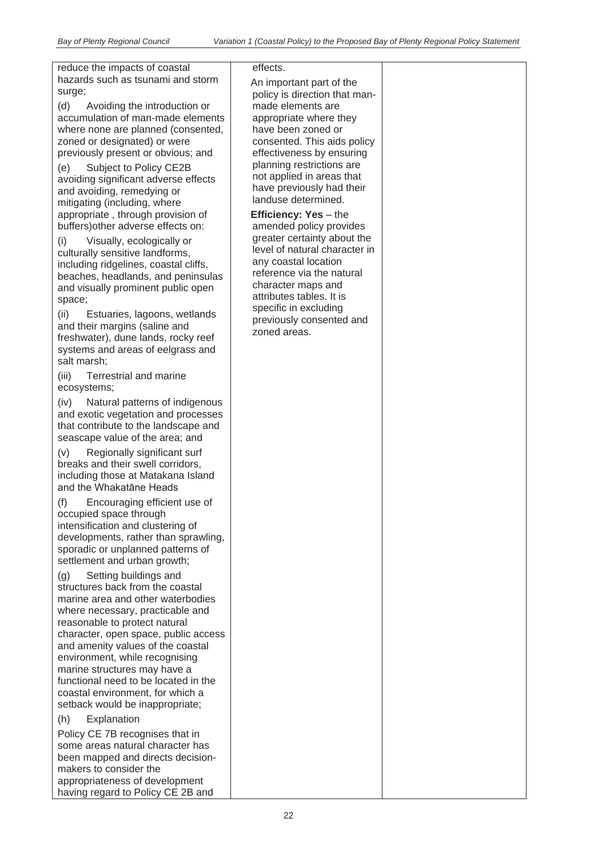reduce the impacts of coastal hazards such as tsunami and storm surge;

(d) Avoiding the introduction or accumulation of man-made elements where none are planned (consented, zoned or designated) or were previously present or obvious; and

(e) Subject to Policy CE2B avoiding significant adverse effects and avoiding, remedying or mitigating (including, where appropriate , through provision of buffers)other adverse effects on:

(i) Visually, ecologically or culturally sensitive landforms, including ridgelines, coastal cliffs, beaches, headlands, and peninsulas and visually prominent public open space;

(ii) Estuaries, lagoons, wetlands and their margins (saline and freshwater), dune lands, rocky reef systems and areas of eelgrass and salt marsh;

(iii) Terrestrial and marine ecosystems;

(iv) Natural patterns of indigenous and exotic vegetation and processes that contribute to the landscape and seascape value of the area; and

(v) Regionally significant surf breaks and their swell corridors, including those at Matakana Island and the Whakatāne Heads

(f) Encouraging efficient use of occupied space through intensification and clustering of developments, rather than sprawling, sporadic or unplanned patterns of settlement and urban growth;

(g) Setting buildings and structures back from the coastal marine area and other waterbodies where necessary, practicable and reasonable to protect natural character, open space, public access and amenity values of the coastal environment, while recognising marine structures may have a functional need to be located in the coastal environment, for which a setback would be inappropriate;

(h) Explanation

Policy CE 7B recognises that in some areas natural character has been mapped and directs decisionmakers to consider the appropriateness of development having regard to Policy CE 2B and

effects.

An important part of the policy is direction that manmade elements are appropriate where they have been zoned or consented. This aids policy effectiveness by ensuring planning restrictions are not applied in areas that have previously had their landuse determined.

**Efficiency: Yes** – the amended policy provides greater certainty about the level of natural character in any coastal location reference via the natural character maps and attributes tables. It is specific in excluding previously consented and zoned areas.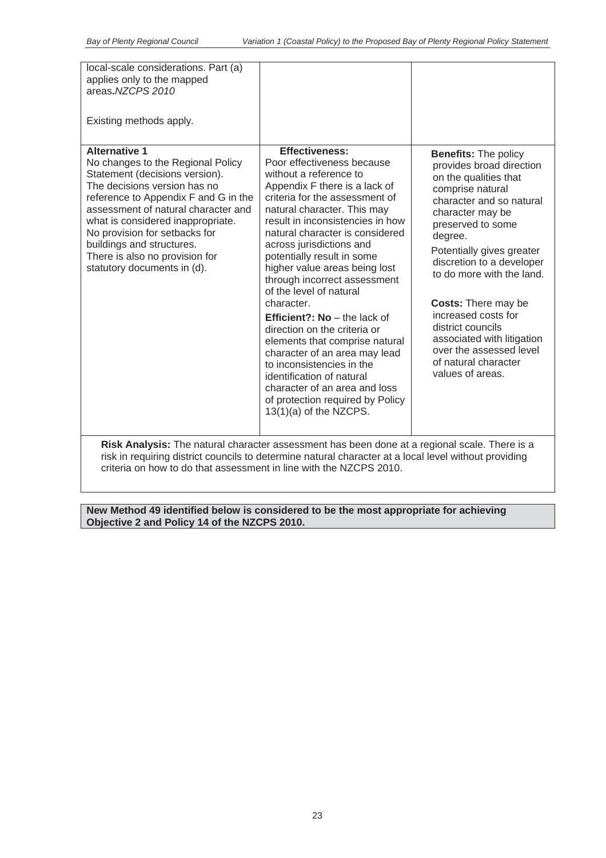| local-scale considerations. Part (a)<br>applies only to the mapped<br>areas.NZCPS 2010                                                                                                                                                                                                                                                                                         |                                                                                                                                                                                                                                                                                                                                                                                                                                                                                                                                                                                                                                                                                                                                 |                                                                                                                                                                                                                                                                                                                                                                                                                                                            |  |
|--------------------------------------------------------------------------------------------------------------------------------------------------------------------------------------------------------------------------------------------------------------------------------------------------------------------------------------------------------------------------------|---------------------------------------------------------------------------------------------------------------------------------------------------------------------------------------------------------------------------------------------------------------------------------------------------------------------------------------------------------------------------------------------------------------------------------------------------------------------------------------------------------------------------------------------------------------------------------------------------------------------------------------------------------------------------------------------------------------------------------|------------------------------------------------------------------------------------------------------------------------------------------------------------------------------------------------------------------------------------------------------------------------------------------------------------------------------------------------------------------------------------------------------------------------------------------------------------|--|
| Existing methods apply.                                                                                                                                                                                                                                                                                                                                                        |                                                                                                                                                                                                                                                                                                                                                                                                                                                                                                                                                                                                                                                                                                                                 |                                                                                                                                                                                                                                                                                                                                                                                                                                                            |  |
| <b>Alternative 1</b><br>No changes to the Regional Policy<br>Statement (decisions version).<br>The decisions version has no<br>reference to Appendix F and G in the<br>assessment of natural character and<br>what is considered inappropriate.<br>No provision for setbacks for<br>buildings and structures.<br>There is also no provision for<br>statutory documents in (d). | <b>Effectiveness:</b><br>Poor effectiveness because<br>without a reference to<br>Appendix F there is a lack of<br>criteria for the assessment of<br>natural character. This may<br>result in inconsistencies in how<br>natural character is considered<br>across jurisdictions and<br>potentially result in some<br>higher value areas being lost<br>through incorrect assessment<br>of the level of natural<br>character.<br><b>Efficient?: No</b> $-$ the lack of<br>direction on the criteria or<br>elements that comprise natural<br>character of an area may lead<br>to inconsistencies in the<br>identification of natural<br>character of an area and loss<br>of protection required by Policy<br>13(1)(a) of the NZCPS. | <b>Benefits: The policy</b><br>provides broad direction<br>on the qualities that<br>comprise natural<br>character and so natural<br>character may be<br>preserved to some<br>degree.<br>Potentially gives greater<br>discretion to a developer<br>to do more with the land.<br><b>Costs: There may be</b><br>increased costs for<br>district councils<br>associated with litigation<br>over the assessed level<br>of natural character<br>values of areas. |  |
| Risk Analysis: The natural character assessment has been done at a regional scale. There is a                                                                                                                                                                                                                                                                                  |                                                                                                                                                                                                                                                                                                                                                                                                                                                                                                                                                                                                                                                                                                                                 |                                                                                                                                                                                                                                                                                                                                                                                                                                                            |  |

risk in requiring district councils to determine natural character at a local level without providing criteria on how to do that assessment in line with the NZCPS 2010.

**New Method 49 identified below is considered to be the most appropriate for achieving Objective 2 and Policy 14 of the NZCPS 2010.**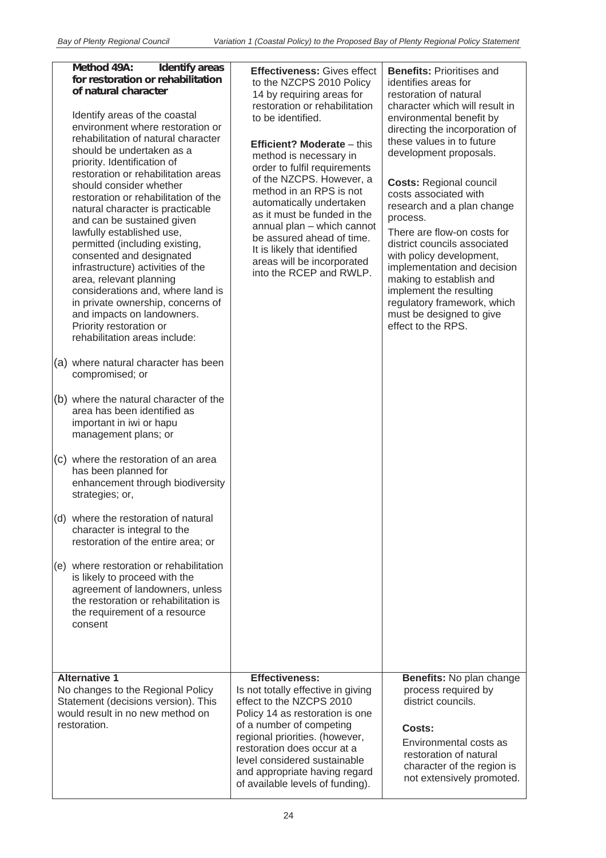#### **Method 49A: Identify areas for restoration or rehabilitation of natural character**

Identify areas of the coastal environment where restoration or rehabilitation of natural character should be undertaken as a priority. Identification of restoration or rehabilitation areas should consider whether restoration or rehabilitation of the natural character is practicable and can be sustained given lawfully established use, permitted (including existing, consented and designated infrastructure) activities of the area, relevant planning considerations and, where land is in private ownership, concerns of and impacts on landowners. Priority restoration or rehabilitation areas include:

- (a) where natural character has been compromised; or
- (b) where the natural character of the area has been identified as important in iwi or hapu management plans; or
- (c) where the restoration of an area has been planned for enhancement through biodiversity strategies; or,
- (d) where the restoration of natural character is integral to the restoration of the entire area; or
- (e) where restoration or rehabilitation is likely to proceed with the agreement of landowners, unless the restoration or rehabilitation is the requirement of a resource consent

No changes to the Regional Policy Statement (decisions version). This would result in no new method on

**Alternative 1** 

restoration.

**Effectiveness:** Gives effect to the NZCPS 2010 Policy 14 by requiring areas for restoration or rehabilitation to be identified.

# **Efficient? Moderate** – this

method is necessary in order to fulfil requirements of the NZCPS. However, a method in an RPS is not automatically undertaken as it must be funded in the annual plan – which cannot be assured ahead of time. It is likely that identified areas will be incorporated into the RCEP and RWLP.

**Benefits:** Prioritises and identifies areas for restoration of natural character which will result in environmental benefit by directing the incorporation of these values in to future development proposals.

**Costs:** Regional council costs associated with research and a plan change process.

There are flow-on costs for district councils associated with policy development, implementation and decision making to establish and implement the resulting regulatory framework, which must be designed to give effect to the RPS.

| process required by |  |
|---------------------|--|
| district councils.  |  |
|                     |  |
| Costs:              |  |
|                     |  |

**Benefits:** No plan change

**Effectiveness:** 

Is not totally effective in giving effect to the NZCPS 2010 Policy 14 as restoration is one of a number of competing regional priorities. (however, restoration does occur at a level considered sustainable and appropriate having regard of available levels of funding).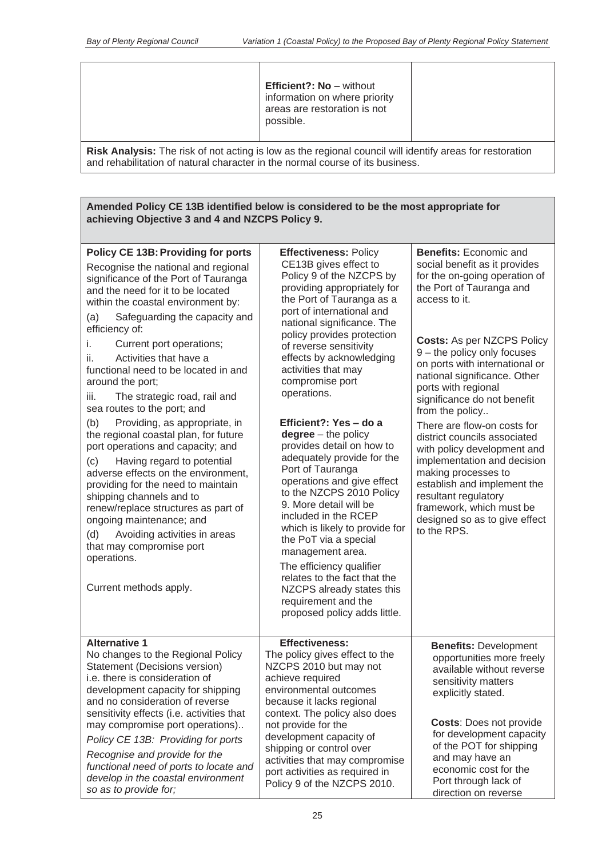|                                                                                                                                                                                           | <b>Efficient?: No</b> $-$ without<br>information on where priority<br>areas are restoration is not<br>possible. |  |
|-------------------------------------------------------------------------------------------------------------------------------------------------------------------------------------------|-----------------------------------------------------------------------------------------------------------------|--|
| Risk Analysis: The risk of not acting is low as the regional council will identify areas for restoration<br>and rehabilitation of natural character in the normal course of its business. |                                                                                                                 |  |

| Amended Policy CE 13B identified below is considered to be the most appropriate for |  |
|-------------------------------------------------------------------------------------|--|
| achieving Objective 3 and 4 and NZCPS Policy 9.                                     |  |

| <b>Policy CE 13B: Providing for ports</b><br>Recognise the national and regional<br>significance of the Port of Tauranga<br>and the need for it to be located<br>within the coastal environment by:<br>Safeguarding the capacity and<br>(a)<br>efficiency of:<br>i.<br>Current port operations;<br>Activities that have a<br>ii.<br>functional need to be located in and<br>around the port;<br>The strategic road, rail and<br>iii.<br>sea routes to the port; and<br>(b)<br>Providing, as appropriate, in | <b>Effectiveness: Policy</b><br>CE13B gives effect to<br>Policy 9 of the NZCPS by<br>providing appropriately for<br>the Port of Tauranga as a<br>port of international and<br>national significance. The<br>policy provides protection<br>of reverse sensitivity<br>effects by acknowledging<br>activities that may<br>compromise port<br>operations.<br>Efficient?: Yes - do a                                                                                          | <b>Benefits: Economic and</b><br>social benefit as it provides<br>for the on-going operation of<br>the Port of Tauranga and<br>access to it.<br>Costs: As per NZCPS Policy<br>9 - the policy only focuses<br>on ports with international or<br>national significance. Other<br>ports with regional<br>significance do not benefit<br>from the policy<br>There are flow-on costs for |
|-------------------------------------------------------------------------------------------------------------------------------------------------------------------------------------------------------------------------------------------------------------------------------------------------------------------------------------------------------------------------------------------------------------------------------------------------------------------------------------------------------------|--------------------------------------------------------------------------------------------------------------------------------------------------------------------------------------------------------------------------------------------------------------------------------------------------------------------------------------------------------------------------------------------------------------------------------------------------------------------------|-------------------------------------------------------------------------------------------------------------------------------------------------------------------------------------------------------------------------------------------------------------------------------------------------------------------------------------------------------------------------------------|
| the regional coastal plan, for future<br>port operations and capacity; and<br>Having regard to potential<br>(c)<br>adverse effects on the environment,<br>providing for the need to maintain<br>shipping channels and to<br>renew/replace structures as part of<br>ongoing maintenance; and<br>Avoiding activities in areas<br>(d)<br>that may compromise port<br>operations.<br>Current methods apply.<br><b>Alternative 1</b>                                                                             | $degree -$ the policy<br>provides detail on how to<br>adequately provide for the<br>Port of Tauranga<br>operations and give effect<br>to the NZCPS 2010 Policy<br>9. More detail will be<br>included in the RCEP<br>which is likely to provide for<br>the PoT via a special<br>management area.<br>The efficiency qualifier<br>relates to the fact that the<br>NZCPS already states this<br>requirement and the<br>proposed policy adds little.<br><b>Effectiveness:</b> | district councils associated<br>with policy development and<br>implementation and decision<br>making processes to<br>establish and implement the<br>resultant regulatory<br>framework, which must be<br>designed so as to give effect<br>to the RPS.                                                                                                                                |
| No changes to the Regional Policy<br>Statement (Decisions version)<br>i.e. there is consideration of<br>development capacity for shipping<br>and no consideration of reverse<br>sensitivity effects (i.e. activities that<br>may compromise port operations)<br>Policy CE 13B: Providing for ports<br>Recognise and provide for the<br>functional need of ports to locate and<br>develop in the coastal environment<br>so as to provide for;                                                                | The policy gives effect to the<br>NZCPS 2010 but may not<br>achieve required<br>environmental outcomes<br>because it lacks regional<br>context. The policy also does<br>not provide for the<br>development capacity of<br>shipping or control over<br>activities that may compromise<br>port activities as required in<br>Policy 9 of the NZCPS 2010.                                                                                                                    | <b>Benefits: Development</b><br>opportunities more freely<br>available without reverse<br>sensitivity matters<br>explicitly stated.<br><b>Costs: Does not provide</b><br>for development capacity<br>of the POT for shipping<br>and may have an<br>economic cost for the<br>Port through lack of<br>direction on reverse                                                            |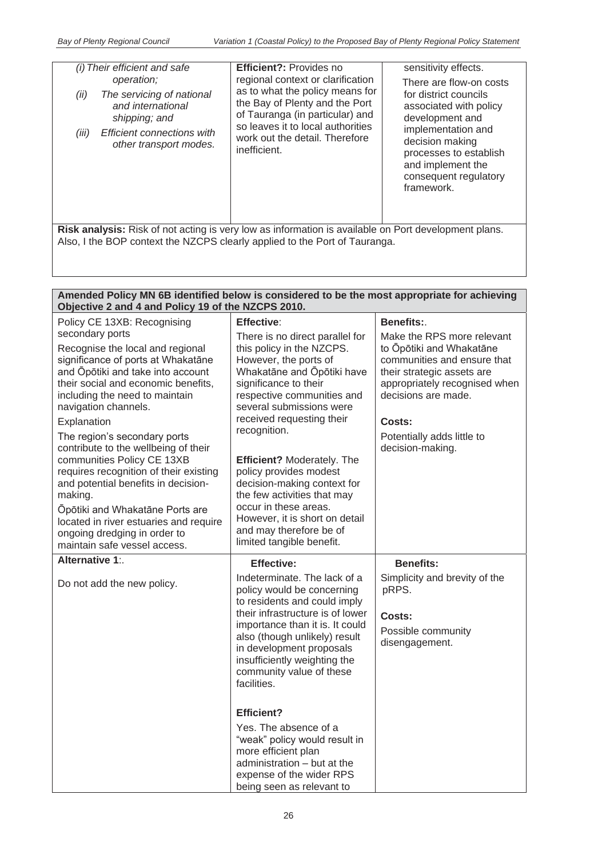| (i) Their efficient and safe<br>operation;<br>The servicing of national<br>(ii)<br>and international<br>shipping; and<br><b>Efficient connections with</b><br>(iii)<br>other transport modes. | Efficient?: Provides no<br>regional context or clarification<br>as to what the policy means for<br>the Bay of Plenty and the Port<br>of Tauranga (in particular) and<br>so leaves it to local authorities<br>work out the detail. Therefore<br>inefficient. | sensitivity effects.<br>There are flow-on costs<br>for district councils<br>associated with policy<br>development and<br>implementation and<br>decision making<br>processes to establish<br>and implement the<br>consequent regulatory<br>framework. |
|-----------------------------------------------------------------------------------------------------------------------------------------------------------------------------------------------|-------------------------------------------------------------------------------------------------------------------------------------------------------------------------------------------------------------------------------------------------------------|------------------------------------------------------------------------------------------------------------------------------------------------------------------------------------------------------------------------------------------------------|
|-----------------------------------------------------------------------------------------------------------------------------------------------------------------------------------------------|-------------------------------------------------------------------------------------------------------------------------------------------------------------------------------------------------------------------------------------------------------------|------------------------------------------------------------------------------------------------------------------------------------------------------------------------------------------------------------------------------------------------------|

**Risk analysis:** Risk of not acting is very low as information is available on Port development plans. Also, I the BOP context the NZCPS clearly applied to the Port of Tauranga.

| Amended Policy MN 6B identified below is considered to be the most appropriate for achieving<br>Objective 2 and 4 and Policy 19 of the NZCPS 2010.                                                                                                                                                                                                                                                                                                                                                                                                                                            |                                                                                                                                                                                                                                                                                                                                                                                                                                                                                              |                                                                                                                                                                                                                                         |
|-----------------------------------------------------------------------------------------------------------------------------------------------------------------------------------------------------------------------------------------------------------------------------------------------------------------------------------------------------------------------------------------------------------------------------------------------------------------------------------------------------------------------------------------------------------------------------------------------|----------------------------------------------------------------------------------------------------------------------------------------------------------------------------------------------------------------------------------------------------------------------------------------------------------------------------------------------------------------------------------------------------------------------------------------------------------------------------------------------|-----------------------------------------------------------------------------------------------------------------------------------------------------------------------------------------------------------------------------------------|
| Policy CE 13XB: Recognising                                                                                                                                                                                                                                                                                                                                                                                                                                                                                                                                                                   | <b>Effective:</b>                                                                                                                                                                                                                                                                                                                                                                                                                                                                            | Benefits:                                                                                                                                                                                                                               |
| secondary ports<br>Recognise the local and regional<br>significance of ports at Whakatāne<br>and Opotiki and take into account<br>their social and economic benefits,<br>including the need to maintain<br>navigation channels.<br>Explanation<br>The region's secondary ports<br>contribute to the wellbeing of their<br>communities Policy CE 13XB<br>requires recognition of their existing<br>and potential benefits in decision-<br>making.<br>Öpōtiki and Whakatāne Ports are<br>located in river estuaries and require<br>ongoing dredging in order to<br>maintain safe vessel access. | There is no direct parallel for<br>this policy in the NZCPS.<br>However, the ports of<br>Whakatāne and Ōpōtiki have<br>significance to their<br>respective communities and<br>several submissions were<br>received requesting their<br>recognition.<br>Efficient? Moderately. The<br>policy provides modest<br>decision-making context for<br>the few activities that may<br>occur in these areas.<br>However, it is short on detail<br>and may therefore be of<br>limited tangible benefit. | Make the RPS more relevant<br>to Opōtiki and Whakatāne<br>communities and ensure that<br>their strategic assets are<br>appropriately recognised when<br>decisions are made.<br>Costs:<br>Potentially adds little to<br>decision-making. |
| Alternative 1:                                                                                                                                                                                                                                                                                                                                                                                                                                                                                                                                                                                | <b>Effective:</b>                                                                                                                                                                                                                                                                                                                                                                                                                                                                            | <b>Benefits:</b>                                                                                                                                                                                                                        |
| Do not add the new policy.                                                                                                                                                                                                                                                                                                                                                                                                                                                                                                                                                                    | Indeterminate. The lack of a<br>policy would be concerning<br>to residents and could imply<br>their infrastructure is of lower<br>importance than it is. It could<br>also (though unlikely) result<br>in development proposals<br>insufficiently weighting the<br>community value of these<br>facilities.<br><b>Efficient?</b>                                                                                                                                                               | Simplicity and brevity of the<br>pRPS.<br>Costs:<br>Possible community<br>disengagement.                                                                                                                                                |
|                                                                                                                                                                                                                                                                                                                                                                                                                                                                                                                                                                                               | Yes. The absence of a<br>"weak" policy would result in<br>more efficient plan<br>administration - but at the<br>expense of the wider RPS<br>being seen as relevant to                                                                                                                                                                                                                                                                                                                        |                                                                                                                                                                                                                                         |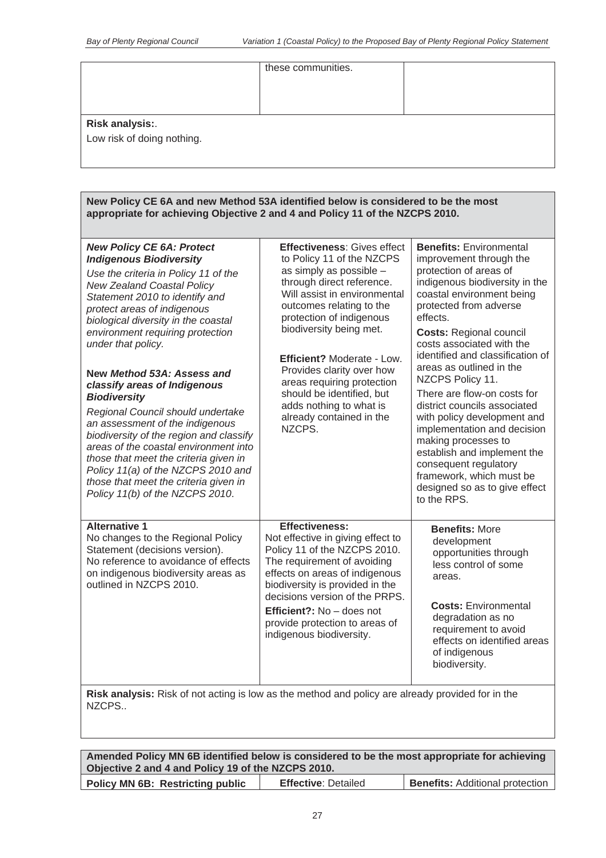|                            | these communities. |  |
|----------------------------|--------------------|--|
|                            |                    |  |
|                            |                    |  |
| <b>Risk analysis:.</b>     |                    |  |
| Low risk of doing nothing. |                    |  |
|                            |                    |  |

| New Policy CE 6A and new Method 53A identified below is considered to be the most<br>appropriate for achieving Objective 2 and 4 and Policy 11 of the NZCPS 2010.                                                                                                                                                                                                                                                                                                                                                                                                                                                                                                                                                             |                                                                                                                                                                                                                                                                                                                                                                                                                                          |                                                                                                                                                                                                                                                                                                                                                                                                                                                                                                                                                                                                                                     |
|-------------------------------------------------------------------------------------------------------------------------------------------------------------------------------------------------------------------------------------------------------------------------------------------------------------------------------------------------------------------------------------------------------------------------------------------------------------------------------------------------------------------------------------------------------------------------------------------------------------------------------------------------------------------------------------------------------------------------------|------------------------------------------------------------------------------------------------------------------------------------------------------------------------------------------------------------------------------------------------------------------------------------------------------------------------------------------------------------------------------------------------------------------------------------------|-------------------------------------------------------------------------------------------------------------------------------------------------------------------------------------------------------------------------------------------------------------------------------------------------------------------------------------------------------------------------------------------------------------------------------------------------------------------------------------------------------------------------------------------------------------------------------------------------------------------------------------|
| <b>New Policy CE 6A: Protect</b><br><b>Indigenous Biodiversity</b><br>Use the criteria in Policy 11 of the<br><b>New Zealand Coastal Policy</b><br>Statement 2010 to identify and<br>protect areas of indigenous<br>biological diversity in the coastal<br>environment requiring protection<br>under that policy.<br>New Method 53A: Assess and<br>classify areas of Indigenous<br><b>Biodiversity</b><br>Regional Council should undertake<br>an assessment of the indigenous<br>biodiversity of the region and classify<br>areas of the coastal environment into<br>those that meet the criteria given in<br>Policy 11(a) of the NZCPS 2010 and<br>those that meet the criteria given in<br>Policy 11(b) of the NZCPS 2010. | <b>Effectiveness: Gives effect</b><br>to Policy 11 of the NZCPS<br>as simply as possible -<br>through direct reference.<br>Will assist in environmental<br>outcomes relating to the<br>protection of indigenous<br>biodiversity being met.<br><b>Efficient? Moderate - Low.</b><br>Provides clarity over how<br>areas requiring protection<br>should be identified, but<br>adds nothing to what is<br>already contained in the<br>NZCPS. | <b>Benefits: Environmental</b><br>improvement through the<br>protection of areas of<br>indigenous biodiversity in the<br>coastal environment being<br>protected from adverse<br>effects.<br><b>Costs: Regional council</b><br>costs associated with the<br>identified and classification of<br>areas as outlined in the<br>NZCPS Policy 11.<br>There are flow-on costs for<br>district councils associated<br>with policy development and<br>implementation and decision<br>making processes to<br>establish and implement the<br>consequent regulatory<br>framework, which must be<br>designed so as to give effect<br>to the RPS. |
| <b>Alternative 1</b><br>No changes to the Regional Policy<br>Statement (decisions version).<br>No reference to avoidance of effects<br>on indigenous biodiversity areas as<br>outlined in NZCPS 2010.                                                                                                                                                                                                                                                                                                                                                                                                                                                                                                                         | Effectiveness:<br>Not effective in giving effect to<br>Policy 11 of the NZCPS 2010.<br>The requirement of avoiding<br>effects on areas of indigenous<br>biodiversity is provided in the<br>decisions version of the PRPS.<br>Efficient?: No - does not<br>provide protection to areas of<br>indigenous biodiversity.                                                                                                                     | <b>Benefits: More</b><br>development<br>opportunities through<br>less control of some<br>areas.<br><b>Costs: Environmental</b><br>degradation as no<br>requirement to avoid<br>effects on identified areas<br>of indigenous<br>biodiversity.                                                                                                                                                                                                                                                                                                                                                                                        |
| Risk analysis: Risk of not acting is low as the method and policy are already provided for in the                                                                                                                                                                                                                                                                                                                                                                                                                                                                                                                                                                                                                             |                                                                                                                                                                                                                                                                                                                                                                                                                                          |                                                                                                                                                                                                                                                                                                                                                                                                                                                                                                                                                                                                                                     |

**Risk analysis:** Risk of not acting is low as the method and policy are already provided for in the NZCPS..

| Amended Policy MN 6B identified below is considered to be the most appropriate for achieving |                            |                                        |
|----------------------------------------------------------------------------------------------|----------------------------|----------------------------------------|
| Objective 2 and 4 and Policy 19 of the NZCPS 2010.                                           |                            |                                        |
| <b>Policy MN 6B: Restricting public</b>                                                      | <b>Effective: Detailed</b> | <b>Benefits: Additional protection</b> |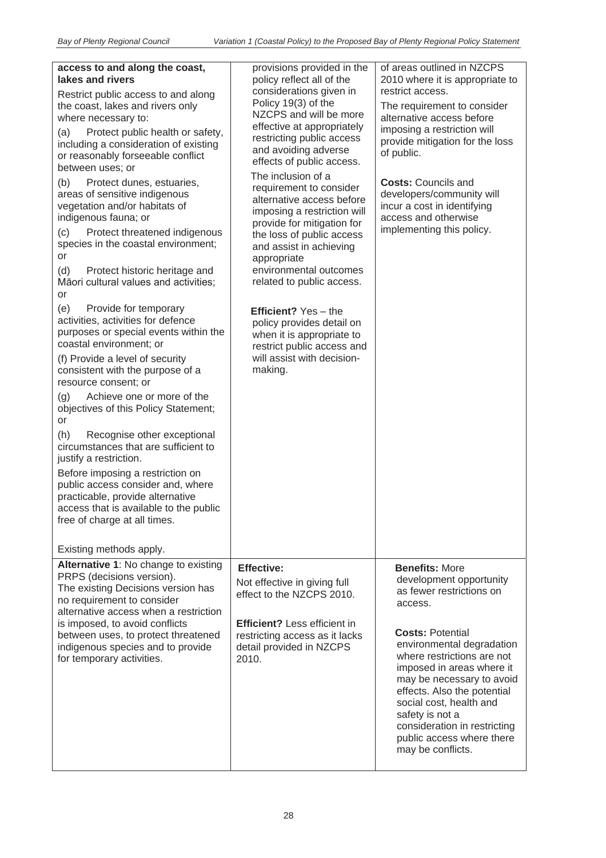| policy reflect all of the<br>considerations given in<br>Policy 19(3) of the<br>NZCPS and will be more<br>effective at appropriately<br>restricting public access<br>and avoiding adverse<br>effects of public access.<br>The inclusion of a<br>requirement to consider<br>alternative access before<br>imposing a restriction will<br>provide for mitigation for<br>the loss of public access<br>and assist in achieving<br>appropriate<br>environmental outcomes<br>related to public access.<br><b>Efficient?</b> Yes - the<br>policy provides detail on<br>when it is appropriate to<br>restrict public access and<br>will assist with decision-<br>making. | of areas outlined in NZCPS<br>2010 where it is appropriate to<br>restrict access.<br>The requirement to consider<br>alternative access before<br>imposing a restriction will<br>provide mitigation for the loss<br>of public.<br><b>Costs: Councils and</b><br>developers/community will<br>incur a cost in identifying<br>access and otherwise<br>implementing this policy.                           |
|----------------------------------------------------------------------------------------------------------------------------------------------------------------------------------------------------------------------------------------------------------------------------------------------------------------------------------------------------------------------------------------------------------------------------------------------------------------------------------------------------------------------------------------------------------------------------------------------------------------------------------------------------------------|--------------------------------------------------------------------------------------------------------------------------------------------------------------------------------------------------------------------------------------------------------------------------------------------------------------------------------------------------------------------------------------------------------|
| <b>Effective:</b><br>Not effective in giving full<br>effect to the NZCPS 2010.<br><b>Efficient?</b> Less efficient in<br>restricting access as it lacks<br>detail provided in NZCPS<br>2010.                                                                                                                                                                                                                                                                                                                                                                                                                                                                   | <b>Benefits: More</b><br>development opportunity<br>as fewer restrictions on<br>access.<br><b>Costs: Potential</b><br>environmental degradation<br>where restrictions are not<br>imposed in areas where it<br>may be necessary to avoid<br>effects. Also the potential<br>social cost, health and<br>safety is not a<br>consideration in restricting<br>public access where there<br>may be conflicts. |
|                                                                                                                                                                                                                                                                                                                                                                                                                                                                                                                                                                                                                                                                | provisions provided in the                                                                                                                                                                                                                                                                                                                                                                             |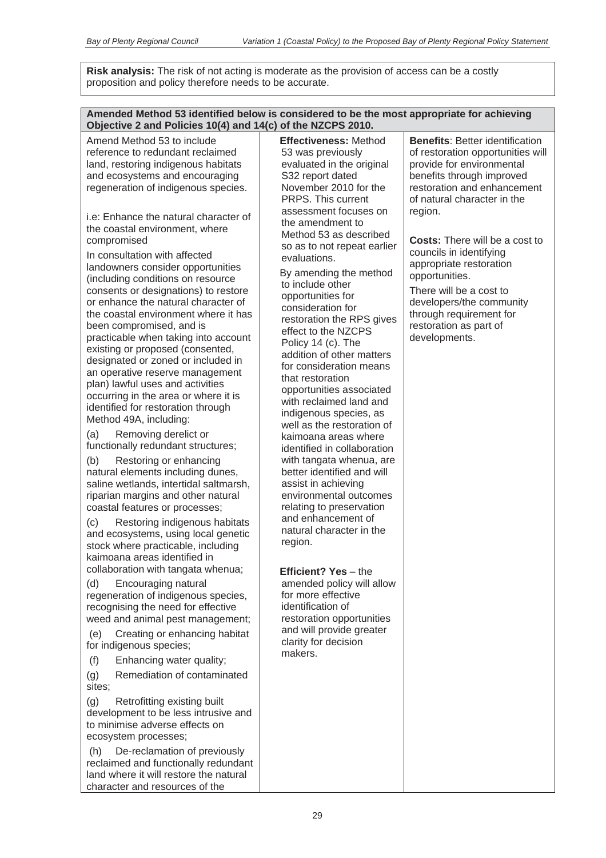**Risk analysis:** The risk of not acting is moderate as the provision of access can be a costly proposition and policy therefore needs to be accurate.

| Amended Method 53 identified below is considered to be the most appropriate for achieving<br>Objective 2 and Policies 10(4) and 14(c) of the NZCPS 2010.                                                                                                                                                                                                                                                                                                                                                                                                                                                                                                                                                                                                                                                                                                                                                                                                                                                                                                                                                                                                                                                                                                                                                                                                                                                                                                                                                                                                                                                                                                                                                                                                                                                                                                                                                |                                                                                                                                                                                                                                                                                                                                                                                                                                                                                                                                                                                                                                                                                                                                                                                                                                                                                                                                                                                                                                                                                             |                                                                                                                                                                                                                                                                                                                                                                                                                                                              |
|---------------------------------------------------------------------------------------------------------------------------------------------------------------------------------------------------------------------------------------------------------------------------------------------------------------------------------------------------------------------------------------------------------------------------------------------------------------------------------------------------------------------------------------------------------------------------------------------------------------------------------------------------------------------------------------------------------------------------------------------------------------------------------------------------------------------------------------------------------------------------------------------------------------------------------------------------------------------------------------------------------------------------------------------------------------------------------------------------------------------------------------------------------------------------------------------------------------------------------------------------------------------------------------------------------------------------------------------------------------------------------------------------------------------------------------------------------------------------------------------------------------------------------------------------------------------------------------------------------------------------------------------------------------------------------------------------------------------------------------------------------------------------------------------------------------------------------------------------------------------------------------------------------|---------------------------------------------------------------------------------------------------------------------------------------------------------------------------------------------------------------------------------------------------------------------------------------------------------------------------------------------------------------------------------------------------------------------------------------------------------------------------------------------------------------------------------------------------------------------------------------------------------------------------------------------------------------------------------------------------------------------------------------------------------------------------------------------------------------------------------------------------------------------------------------------------------------------------------------------------------------------------------------------------------------------------------------------------------------------------------------------|--------------------------------------------------------------------------------------------------------------------------------------------------------------------------------------------------------------------------------------------------------------------------------------------------------------------------------------------------------------------------------------------------------------------------------------------------------------|
| Amend Method 53 to include<br>reference to redundant reclaimed<br>land, restoring indigenous habitats<br>and ecosystems and encouraging<br>regeneration of indigenous species.<br>i.e: Enhance the natural character of<br>the coastal environment, where<br>compromised<br>In consultation with affected<br>landowners consider opportunities<br>(including conditions on resource<br>consents or designations) to restore<br>or enhance the natural character of<br>the coastal environment where it has<br>been compromised, and is<br>practicable when taking into account<br>existing or proposed (consented,<br>designated or zoned or included in<br>an operative reserve management<br>plan) lawful uses and activities<br>occurring in the area or where it is<br>identified for restoration through<br>Method 49A, including:<br>Removing derelict or<br>(a)<br>functionally redundant structures;<br>Restoring or enhancing<br>(b)<br>natural elements including dunes,<br>saline wetlands, intertidal saltmarsh,<br>riparian margins and other natural<br>coastal features or processes;<br>(c)<br>Restoring indigenous habitats<br>and ecosystems, using local genetic<br>stock where practicable, including<br>kaimoana areas identified in<br>collaboration with tangata whenua;<br>(d)<br>Encouraging natural<br>regeneration of indigenous species,<br>recognising the need for effective<br>weed and animal pest management;<br>Creating or enhancing habitat<br>(e)<br>for indigenous species;<br>(f)<br>Enhancing water quality;<br>Remediation of contaminated<br>(g)<br>sites;<br>(g)<br>Retrofitting existing built<br>development to be less intrusive and<br>to minimise adverse effects on<br>ecosystem processes;<br>De-reclamation of previously<br>(h)<br>reclaimed and functionally redundant<br>land where it will restore the natural<br>character and resources of the | <b>Effectiveness: Method</b><br>53 was previously<br>evaluated in the original<br>S32 report dated<br>November 2010 for the<br>PRPS. This current<br>assessment focuses on<br>the amendment to<br>Method 53 as described<br>so as to not repeat earlier<br>evaluations.<br>By amending the method<br>to include other<br>opportunities for<br>consideration for<br>restoration the RPS gives<br>effect to the NZCPS<br>Policy 14 (c). The<br>addition of other matters<br>for consideration means<br>that restoration<br>opportunities associated<br>with reclaimed land and<br>indigenous species, as<br>well as the restoration of<br>kaimoana areas where<br>identified in collaboration<br>with tangata whenua, are<br>better identified and will<br>assist in achieving<br>environmental outcomes<br>relating to preservation<br>and enhancement of<br>natural character in the<br>region.<br>Efficient? Yes - the<br>amended policy will allow<br>for more effective<br>identification of<br>restoration opportunities<br>and will provide greater<br>clarity for decision<br>makers. | <b>Benefits: Better identification</b><br>of restoration opportunities will<br>provide for environmental<br>benefits through improved<br>restoration and enhancement<br>of natural character in the<br>region.<br><b>Costs:</b> There will be a cost to<br>councils in identifying<br>appropriate restoration<br>opportunities.<br>There will be a cost to<br>developers/the community<br>through requirement for<br>restoration as part of<br>developments. |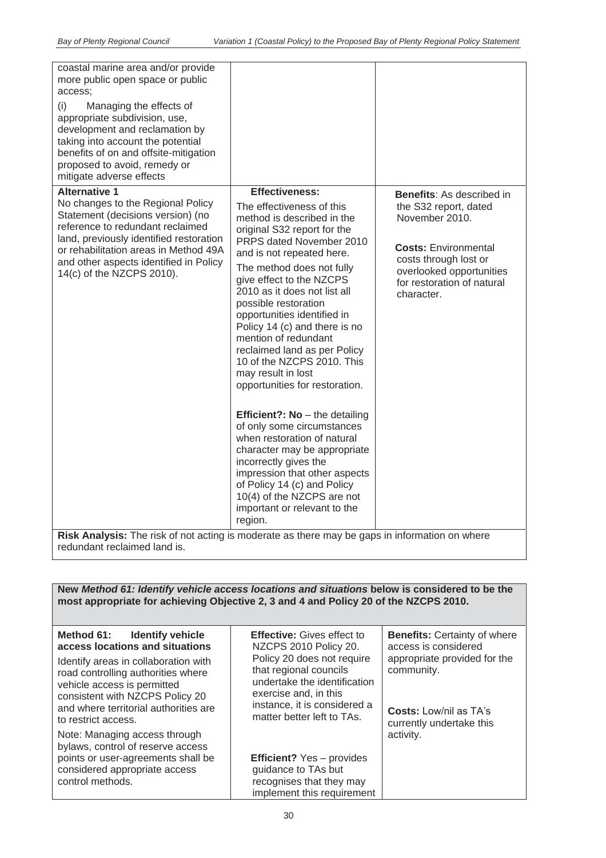| coastal marine area and/or provide<br>more public open space or public<br>access:                                              |                                                              |                                                      |
|--------------------------------------------------------------------------------------------------------------------------------|--------------------------------------------------------------|------------------------------------------------------|
| (i)<br>Managing the effects of<br>appropriate subdivision, use,                                                                |                                                              |                                                      |
| development and reclamation by<br>taking into account the potential                                                            |                                                              |                                                      |
| benefits of on and offsite-mitigation<br>proposed to avoid, remedy or                                                          |                                                              |                                                      |
| mitigate adverse effects                                                                                                       |                                                              |                                                      |
| <b>Alternative 1</b>                                                                                                           | <b>Effectiveness:</b>                                        | <b>Benefits:</b> As described in                     |
| No changes to the Regional Policy<br>Statement (decisions version) (no<br>reference to redundant reclaimed                     | The effectiveness of this<br>method is described in the      | the S32 report, dated<br>November 2010.              |
| land, previously identified restoration                                                                                        | original S32 report for the<br>PRPS dated November 2010      |                                                      |
| or rehabilitation areas in Method 49A                                                                                          | and is not repeated here.                                    | <b>Costs: Environmental</b><br>costs through lost or |
| and other aspects identified in Policy<br>14(c) of the NZCPS 2010).                                                            | The method does not fully                                    | overlooked opportunities                             |
|                                                                                                                                | give effect to the NZCPS<br>2010 as it does not list all     | for restoration of natural                           |
|                                                                                                                                | possible restoration                                         | character.                                           |
|                                                                                                                                | opportunities identified in                                  |                                                      |
|                                                                                                                                | Policy 14 (c) and there is no<br>mention of redundant        |                                                      |
|                                                                                                                                | reclaimed land as per Policy                                 |                                                      |
|                                                                                                                                | 10 of the NZCPS 2010. This                                   |                                                      |
|                                                                                                                                | may result in lost<br>opportunities for restoration.         |                                                      |
|                                                                                                                                |                                                              |                                                      |
|                                                                                                                                | Efficient?: No - the detailing                               |                                                      |
|                                                                                                                                | of only some circumstances<br>when restoration of natural    |                                                      |
|                                                                                                                                | character may be appropriate                                 |                                                      |
|                                                                                                                                | incorrectly gives the                                        |                                                      |
|                                                                                                                                | impression that other aspects<br>of Policy 14 (c) and Policy |                                                      |
|                                                                                                                                | 10(4) of the NZCPS are not                                   |                                                      |
|                                                                                                                                | important or relevant to the                                 |                                                      |
|                                                                                                                                | region.                                                      |                                                      |
| Risk Analysis: The risk of not acting is moderate as there may be gaps in information on where<br>redundant reclaimed land is. |                                                              |                                                      |
|                                                                                                                                |                                                              |                                                      |

**New** *Method 61: Identify vehicle access locations and situations* **below is considered to be the most appropriate for achieving Objective 2, 3 and 4 and Policy 20 of the NZCPS 2010.**

| Method 61: Identify vehicle<br>access locations and situations<br>Identify areas in collaboration with<br>road controlling authorities where<br>vehicle access is permitted<br>consistent with NZCPS Policy 20<br>and where territorial authorities are<br>to restrict access. | <b>Effective:</b> Gives effect to<br>NZCPS 2010 Policy 20.<br>Policy 20 does not require<br>that regional councils<br>undertake the identification<br>exercise and, in this<br>instance, it is considered a<br>matter better left to TAs. | <b>Benefits: Certainty of where</b><br>access is considered<br>appropriate provided for the<br>community.<br><b>Costs:</b> Low/nil as TA's<br>currently undertake this |
|--------------------------------------------------------------------------------------------------------------------------------------------------------------------------------------------------------------------------------------------------------------------------------|-------------------------------------------------------------------------------------------------------------------------------------------------------------------------------------------------------------------------------------------|------------------------------------------------------------------------------------------------------------------------------------------------------------------------|
| Note: Managing access through<br>bylaws, control of reserve access<br>points or user-agreements shall be<br>considered appropriate access<br>control methods.                                                                                                                  | <b>Efficient?</b> Yes - provides<br>guidance to TAs but<br>recognises that they may<br>implement this requirement                                                                                                                         | activity.                                                                                                                                                              |